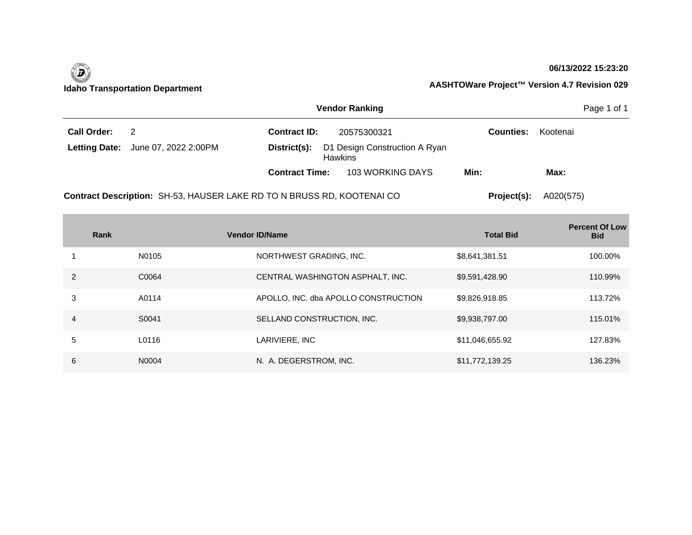

### **06/13/2022 15:23:20**

|                    |                                                                        | <b>Vendor Ranking</b> |                                                 |                  |           |  |
|--------------------|------------------------------------------------------------------------|-----------------------|-------------------------------------------------|------------------|-----------|--|
| <b>Call Order:</b> | 2                                                                      | <b>Contract ID:</b>   | 20575300321                                     | <b>Counties:</b> | Kootenai  |  |
|                    | <b>Letting Date:</b> June 07, 2022 2:00PM                              | District(s):          | D1 Design Construction A Ryan<br><b>Hawkins</b> |                  |           |  |
|                    |                                                                        | <b>Contract Time:</b> | 103 WORKING DAYS                                | Min:             | Max:      |  |
|                    | Contract Description: SH-53, HAUSER LAKE RD TO N BRUSS RD, KOOTENAI CO |                       |                                                 | Project(s):      | A020(575) |  |

|                | Rank  | <b>Vendor ID/Name</b>                | <b>Total Bid</b> | <b>Percent Of Low</b><br><b>Bid</b> |
|----------------|-------|--------------------------------------|------------------|-------------------------------------|
|                | N0105 | NORTHWEST GRADING, INC.              | \$8,641,381.51   | 100.00%                             |
| $\overline{2}$ | C0064 | CENTRAL WASHINGTON ASPHALT, INC.     | \$9,591,428.90   | 110.99%                             |
| 3              | A0114 | APOLLO, INC. dba APOLLO CONSTRUCTION | \$9,826,918.85   | 113.72%                             |
| 4              | S0041 | SELLAND CONSTRUCTION, INC.           | \$9,938,797.00   | 115.01%                             |
| 5              | L0116 | LARIVIERE, INC                       | \$11,046,655.92  | 127.83%                             |
| 6              | N0004 | N. A. DEGERSTROM, INC.               | \$11,772,139.25  | 136.23%                             |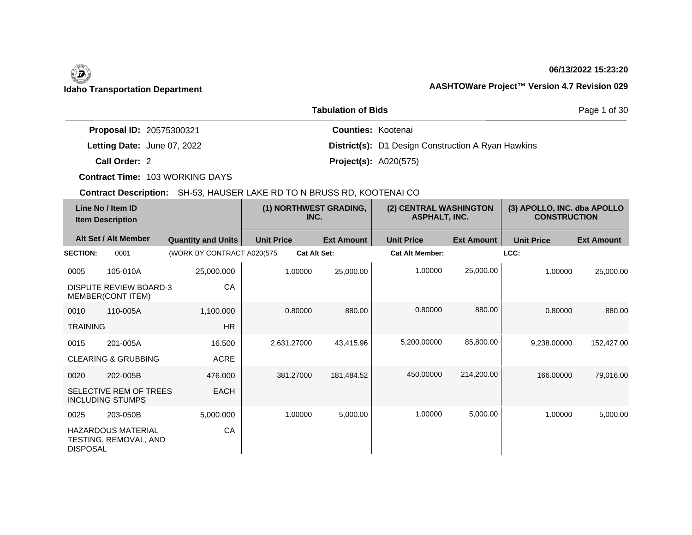# **06/13/2022 15:23:20**

|                                 | Page 1 of 30                                              |  |
|---------------------------------|-----------------------------------------------------------|--|
| <b>Proposal ID: 20575300321</b> | <b>Counties: Kootenai</b>                                 |  |
| Letting Date: June 07, 2022     | <b>District(s):</b> D1 Design Construction A Ryan Hawkins |  |
| Call Order: 2                   | <b>Project(s): A020(575)</b>                              |  |

**Contract Time:** 103 WORKING DAYS

| Line No / Item ID<br><b>Item Description</b> |                                                    | (1) NORTHWEST GRADING,<br>INC. |                   | (2) CENTRAL WASHINGTON<br><b>ASPHALT, INC.</b> |                        | (3) APOLLO, INC. dba APOLLO<br><b>CONSTRUCTION</b> |                   |                   |
|----------------------------------------------|----------------------------------------------------|--------------------------------|-------------------|------------------------------------------------|------------------------|----------------------------------------------------|-------------------|-------------------|
|                                              | Alt Set / Alt Member                               | <b>Quantity and Units</b>      | <b>Unit Price</b> | <b>Ext Amount</b>                              | <b>Unit Price</b>      | <b>Ext Amount</b>                                  | <b>Unit Price</b> | <b>Ext Amount</b> |
| <b>SECTION:</b>                              | 0001                                               | (WORK BY CONTRACT A020(575)    |                   | <b>Cat Alt Set:</b>                            | <b>Cat Alt Member:</b> |                                                    | LCC:              |                   |
| 0005                                         | 105-010A                                           | 25,000.000                     | 1.00000           | 25,000.00                                      | 1.00000                | 25,000.00                                          | 1.00000           | 25,000.00         |
|                                              | <b>DISPUTE REVIEW BOARD-3</b><br>MEMBER(CONT ITEM) | CA                             |                   |                                                |                        |                                                    |                   |                   |
| 0010                                         | 110-005A                                           | 1,100.000                      | 0.80000           | 880.00                                         | 0.80000                | 880.00                                             | 0.80000           | 880.00            |
| <b>TRAINING</b>                              |                                                    | <b>HR</b>                      |                   |                                                |                        |                                                    |                   |                   |
| 0015                                         | 201-005A                                           | 16.500                         | 2,631.27000       | 43,415.96                                      | 5,200.00000            | 85,800.00                                          | 9,238.00000       | 152,427.00        |
|                                              | <b>CLEARING &amp; GRUBBING</b>                     | <b>ACRE</b>                    |                   |                                                |                        |                                                    |                   |                   |
| 0020                                         | 202-005B                                           | 476.000                        | 381.27000         | 181,484.52                                     | 450.00000              | 214,200.00                                         | 166.00000         | 79,016.00         |
|                                              | SELECTIVE REM OF TREES<br><b>INCLUDING STUMPS</b>  | <b>EACH</b>                    |                   |                                                |                        |                                                    |                   |                   |
| 0025                                         | 203-050B                                           | 5,000.000                      | 1.00000           | 5,000.00                                       | 1.00000                | 5,000.00                                           | 1.00000           | 5,000.00          |
| <b>DISPOSAL</b>                              | <b>HAZARDOUS MATERIAL</b><br>TESTING, REMOVAL, AND | CA                             |                   |                                                |                        |                                                    |                   |                   |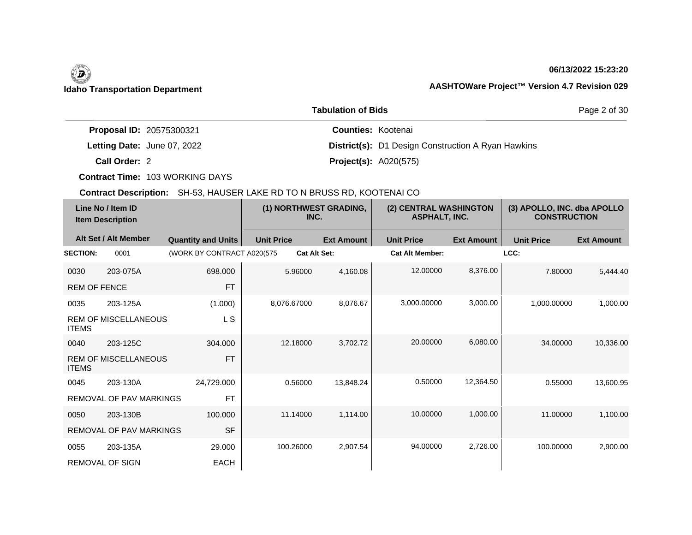# **06/13/2022 15:23:20**

Page 2 of 30

|                                 | <b>Tabulation of Bids</b>                                 |
|---------------------------------|-----------------------------------------------------------|
| <b>Proposal ID: 20575300321</b> | <b>Counties: Kootenai</b>                                 |
| Letting Date: June 07, 2022     | <b>District(s):</b> D1 Design Construction A Ryan Hawkins |
| Call Order: 2                   | <b>Project(s): A020(575)</b>                              |

**Contract Time:** 103 WORKING DAYS

| Line No / Item ID<br><b>Item Description</b> |                                | (1) NORTHWEST GRADING,<br>INC. |                   | (2) CENTRAL WASHINGTON<br><b>ASPHALT, INC.</b> |                        | (3) APOLLO, INC. dba APOLLO<br><b>CONSTRUCTION</b> |                   |                   |
|----------------------------------------------|--------------------------------|--------------------------------|-------------------|------------------------------------------------|------------------------|----------------------------------------------------|-------------------|-------------------|
|                                              | Alt Set / Alt Member           | <b>Quantity and Units</b>      | <b>Unit Price</b> | <b>Ext Amount</b>                              | <b>Unit Price</b>      | <b>Ext Amount</b>                                  | <b>Unit Price</b> | <b>Ext Amount</b> |
| <b>SECTION:</b>                              | 0001                           | (WORK BY CONTRACT A020(575     |                   | <b>Cat Alt Set:</b>                            | <b>Cat Alt Member:</b> |                                                    | LCC:              |                   |
| 0030                                         | 203-075A                       | 698.000                        | 5.96000           | 4,160.08                                       | 12.00000               | 8,376.00                                           | 7.80000           | 5,444.40          |
| <b>REM OF FENCE</b>                          |                                | <b>FT</b>                      |                   |                                                |                        |                                                    |                   |                   |
| 0035                                         | 203-125A                       | (1.000)                        | 8,076.67000       | 8,076.67                                       | 3,000.00000            | 3,000.00                                           | 1,000.00000       | 1,000.00          |
| <b>ITEMS</b>                                 | <b>REM OF MISCELLANEOUS</b>    | L S                            |                   |                                                |                        |                                                    |                   |                   |
| 0040                                         | 203-125C                       | 304.000                        | 12.18000          | 3,702.72                                       | 20.00000               | 6,080.00                                           | 34.00000          | 10.336.00         |
| <b>ITEMS</b>                                 | <b>REM OF MISCELLANEOUS</b>    | <b>FT</b>                      |                   |                                                |                        |                                                    |                   |                   |
| 0045                                         | 203-130A                       | 24,729.000                     | 0.56000           | 13.848.24                                      | 0.50000                | 12,364.50                                          | 0.55000           | 13,600.95         |
|                                              | <b>REMOVAL OF PAV MARKINGS</b> | <b>FT</b>                      |                   |                                                |                        |                                                    |                   |                   |
| 0050                                         | 203-130B                       | 100.000                        | 11.14000          | 1,114.00                                       | 10.00000               | 1,000.00                                           | 11.00000          | 1,100.00          |
|                                              | <b>REMOVAL OF PAV MARKINGS</b> | <b>SF</b>                      |                   |                                                |                        |                                                    |                   |                   |
| 0055                                         | 203-135A                       | 29.000                         | 100.26000         | 2,907.54                                       | 94.00000               | 2,726.00                                           | 100.00000         | 2,900.00          |
|                                              | <b>REMOVAL OF SIGN</b>         | EACH                           |                   |                                                |                        |                                                    |                   |                   |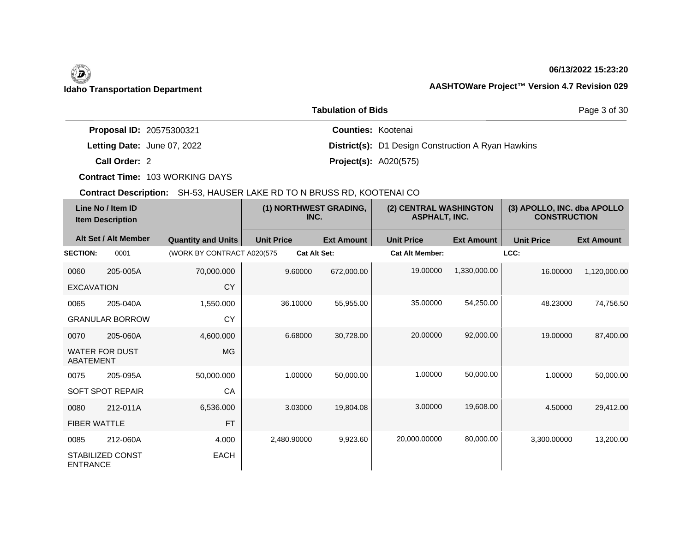# **06/13/2022 15:23:20**

Page 3 of 30

| <b>Tabulation of Bids</b>   |                                                           |  |  |  |  |
|-----------------------------|-----------------------------------------------------------|--|--|--|--|
| Proposal ID: 20575300321    | <b>Counties: Kootenai</b>                                 |  |  |  |  |
| Letting Date: June 07, 2022 | <b>District(s):</b> D1 Design Construction A Ryan Hawkins |  |  |  |  |
| Call Order: 2               | <b>Project(s): A020(575)</b>                              |  |  |  |  |

**Contract Time:** 103 WORKING DAYS

| Line No / Item ID<br><b>Item Description</b> |                        | (1) NORTHWEST GRADING,<br>INC. |                   | (2) CENTRAL WASHINGTON<br><b>ASPHALT, INC.</b> |                        | (3) APOLLO, INC. dba APOLLO<br><b>CONSTRUCTION</b> |                   |                   |
|----------------------------------------------|------------------------|--------------------------------|-------------------|------------------------------------------------|------------------------|----------------------------------------------------|-------------------|-------------------|
|                                              | Alt Set / Alt Member   | <b>Quantity and Units</b>      | <b>Unit Price</b> | <b>Ext Amount</b>                              | <b>Unit Price</b>      | <b>Ext Amount</b>                                  | <b>Unit Price</b> | <b>Ext Amount</b> |
| <b>SECTION:</b>                              | 0001                   | (WORK BY CONTRACT A020(575     |                   | <b>Cat Alt Set:</b>                            | <b>Cat Alt Member:</b> |                                                    | LCC:              |                   |
| 0060                                         | 205-005A               | 70,000.000                     | 9.60000           | 672,000.00                                     | 19.00000               | 1,330,000.00                                       | 16.00000          | 1,120,000.00      |
| <b>EXCAVATION</b>                            |                        | <b>CY</b>                      |                   |                                                |                        |                                                    |                   |                   |
| 0065                                         | 205-040A               | 1,550.000                      | 36.10000          | 55,955.00                                      | 35.00000               | 54,250.00                                          | 48.23000          | 74,756.50         |
|                                              | <b>GRANULAR BORROW</b> | <b>CY</b>                      |                   |                                                |                        |                                                    |                   |                   |
| 0070                                         | 205-060A               | 4,600.000                      | 6.68000           | 30,728.00                                      | 20.00000               | 92,000.00                                          | 19.00000          | 87,400.00         |
| <b>ABATEMENT</b>                             | <b>WATER FOR DUST</b>  | MG                             |                   |                                                |                        |                                                    |                   |                   |
| 0075                                         | 205-095A               | 50,000.000                     | 1.00000           | 50,000.00                                      | 1.00000                | 50,000.00                                          | 1.00000           | 50,000.00         |
|                                              | SOFT SPOT REPAIR       | CA                             |                   |                                                |                        |                                                    |                   |                   |
| 0080                                         | 212-011A               | 6,536.000                      | 3.03000           | 19,804.08                                      | 3.00000                | 19,608.00                                          | 4.50000           | 29,412.00         |
| <b>FIBER WATTLE</b>                          |                        | <b>FT</b>                      |                   |                                                |                        |                                                    |                   |                   |
| 0085                                         | 212-060A               | 4.000                          | 2.480.90000       | 9,923.60                                       | 20,000.00000           | 80,000.00                                          | 3,300.00000       | 13,200.00         |
| <b>ENTRANCE</b>                              | STABILIZED CONST       | <b>EACH</b>                    |                   |                                                |                        |                                                    |                   |                   |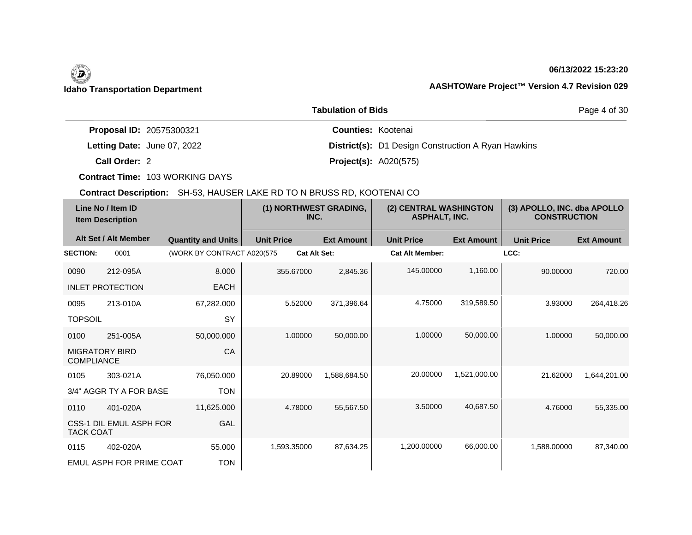# (D)

# **06/13/2022 15:23:20**

## **Idaho Transportation Department AASHTOWare Project™ Version 4.7 Revision 029**

|                                 | Page 4 of 30                                              |  |
|---------------------------------|-----------------------------------------------------------|--|
| <b>Proposal ID: 20575300321</b> | <b>Counties: Kootenai</b>                                 |  |
| Letting Date: June 07, 2022     | <b>District(s):</b> D1 Design Construction A Ryan Hawkins |  |
| Call Order: 2                   | <b>Project(s): A020(575)</b>                              |  |

**Contract Time:** 103 WORKING DAYS

| Line No / Item ID<br><b>Item Description</b> |                          | (1) NORTHWEST GRADING,<br>INC. |                     | (2) CENTRAL WASHINGTON<br><b>ASPHALT, INC.</b> |                        | (3) APOLLO, INC. dba APOLLO<br><b>CONSTRUCTION</b> |                   |                   |
|----------------------------------------------|--------------------------|--------------------------------|---------------------|------------------------------------------------|------------------------|----------------------------------------------------|-------------------|-------------------|
|                                              | Alt Set / Alt Member     | <b>Quantity and Units</b>      | <b>Unit Price</b>   | <b>Ext Amount</b>                              | <b>Unit Price</b>      | <b>Ext Amount</b>                                  | <b>Unit Price</b> | <b>Ext Amount</b> |
| <b>SECTION:</b>                              | 0001                     | (WORK BY CONTRACT A020(575     | <b>Cat Alt Set:</b> |                                                | <b>Cat Alt Member:</b> |                                                    | LCC:              |                   |
| 0090                                         | 212-095A                 | 8.000                          | 355.67000           | 2,845.36                                       | 145.00000              | 1,160.00                                           | 90.00000          | 720.00            |
|                                              | <b>INLET PROTECTION</b>  | <b>EACH</b>                    |                     |                                                |                        |                                                    |                   |                   |
| 0095                                         | 213-010A                 | 67,282.000                     | 5.52000             | 371,396.64                                     | 4.75000                | 319,589.50                                         | 3.93000           | 264,418.26        |
| <b>TOPSOIL</b>                               |                          | SY                             |                     |                                                |                        |                                                    |                   |                   |
| 0100                                         | 251-005A                 | 50,000.000                     | 1.00000             | 50,000.00                                      | 1.00000                | 50,000.00                                          | 1.00000           | 50,000.00         |
| <b>COMPLIANCE</b>                            | <b>MIGRATORY BIRD</b>    | CA                             |                     |                                                |                        |                                                    |                   |                   |
| 0105                                         | 303-021A                 | 76,050.000                     | 20.89000            | 1,588,684.50                                   | 20.00000               | 1,521,000.00                                       | 21.62000          | 1,644,201.00      |
|                                              | 3/4" AGGR TY A FOR BASE  | <b>TON</b>                     |                     |                                                |                        |                                                    |                   |                   |
| 0110                                         | 401-020A                 | 11,625.000                     | 4.78000             | 55,567.50                                      | 3.50000                | 40,687.50                                          | 4.76000           | 55,335.00         |
| <b>TACK COAT</b>                             | CSS-1 DIL EMUL ASPH FOR  | GAL                            |                     |                                                |                        |                                                    |                   |                   |
| 0115                                         | 402-020A                 | 55,000                         | 1,593.35000         | 87,634.25                                      | 1,200.00000            | 66,000.00                                          | 1,588.00000       | 87,340.00         |
|                                              | EMUL ASPH FOR PRIME COAT | <b>TON</b>                     |                     |                                                |                        |                                                    |                   |                   |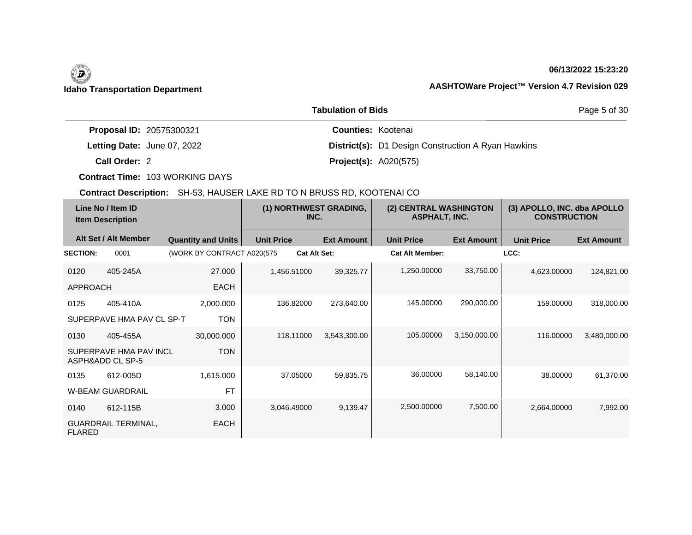# **06/13/2022 15:23:20**

Page 5 of 30

|                             | <b>Tabulation of Bids</b>                                 |
|-----------------------------|-----------------------------------------------------------|
| Proposal ID: 20575300321    | <b>Counties: Kootenai</b>                                 |
| Letting Date: June 07, 2022 | <b>District(s):</b> D1 Design Construction A Ryan Hawkins |
| Call Order: 2               | <b>Project(s): A020(575)</b>                              |

**Contract Time:** 103 WORKING DAYS

| Line No / Item ID<br><b>Item Description</b> |                                            |                             | (1) NORTHWEST GRADING,<br>INC. |                   | (2) CENTRAL WASHINGTON<br><b>ASPHALT, INC.</b> |                   | (3) APOLLO, INC. dba APOLLO<br><b>CONSTRUCTION</b> |                   |
|----------------------------------------------|--------------------------------------------|-----------------------------|--------------------------------|-------------------|------------------------------------------------|-------------------|----------------------------------------------------|-------------------|
|                                              | Alt Set / Alt Member                       | <b>Quantity and Units</b>   | <b>Unit Price</b>              | <b>Ext Amount</b> | <b>Unit Price</b>                              | <b>Ext Amount</b> | <b>Unit Price</b>                                  | <b>Ext Amount</b> |
| <b>SECTION:</b>                              | 0001                                       | (WORK BY CONTRACT A020(575) | <b>Cat Alt Set:</b>            |                   | <b>Cat Alt Member:</b>                         |                   | LCC:                                               |                   |
| 0120                                         | 405-245A                                   | 27,000                      | 1,456.51000                    | 39,325.77         | 1,250.00000                                    | 33,750.00         | 4,623.00000                                        | 124,821.00        |
| <b>APPROACH</b>                              |                                            | <b>EACH</b>                 |                                |                   |                                                |                   |                                                    |                   |
| 0125                                         | 405-410A                                   | 2,000.000                   | 136.82000                      | 273,640.00        | 145.00000                                      | 290,000.00        | 159,00000                                          | 318,000.00        |
|                                              | SUPERPAVE HMA PAV CL SP-T                  | <b>TON</b>                  |                                |                   |                                                |                   |                                                    |                   |
| 0130                                         | 405-455A                                   | 30,000.000                  | 118.11000                      | 3,543,300.00      | 105.00000                                      | 3,150,000.00      | 116.00000                                          | 3,480,000.00      |
|                                              | SUPERPAVE HMA PAV INCL<br>ASPH&ADD CL SP-5 | <b>TON</b>                  |                                |                   |                                                |                   |                                                    |                   |
| 0135                                         | 612-005D                                   | 1,615.000                   | 37.05000                       | 59,835.75         | 36.00000                                       | 58,140.00         | 38.00000                                           | 61,370.00         |
|                                              | <b>W-BEAM GUARDRAIL</b>                    | <b>FT</b>                   |                                |                   |                                                |                   |                                                    |                   |
| 0140                                         | 612-115B                                   | 3.000                       | 3,046.49000                    | 9,139.47          | 2,500.00000                                    | 7,500.00          | 2,664.00000                                        | 7,992.00          |
| <b>FLARED</b>                                | <b>GUARDRAIL TERMINAL,</b>                 | <b>EACH</b>                 |                                |                   |                                                |                   |                                                    |                   |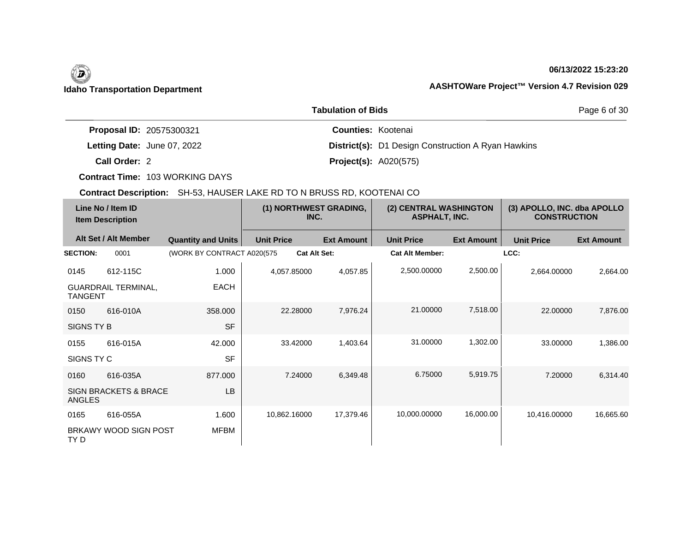# **06/13/2022 15:23:20**

Page 6 of 30

|                                 | <b>Tabulation of Bids</b>                                 |
|---------------------------------|-----------------------------------------------------------|
| <b>Proposal ID: 20575300321</b> | <b>Counties: Kootenai</b>                                 |
| Letting Date: June 07, 2022     | <b>District(s):</b> D1 Design Construction A Ryan Hawkins |
| Call Order: 2                   | <b>Project(s): A020(575)</b>                              |

**Contract Time:** 103 WORKING DAYS

| Line No / Item ID<br><b>Item Description</b> |                                  | (1) NORTHWEST GRADING,<br>INC. |                     | (2) CENTRAL WASHINGTON<br><b>ASPHALT, INC.</b> |                        | (3) APOLLO, INC. dba APOLLO<br><b>CONSTRUCTION</b> |                   |                   |
|----------------------------------------------|----------------------------------|--------------------------------|---------------------|------------------------------------------------|------------------------|----------------------------------------------------|-------------------|-------------------|
|                                              | Alt Set / Alt Member             | <b>Quantity and Units</b>      | <b>Unit Price</b>   | <b>Ext Amount</b>                              | <b>Unit Price</b>      | <b>Ext Amount</b>                                  | <b>Unit Price</b> | <b>Ext Amount</b> |
| <b>SECTION:</b>                              | 0001                             | (WORK BY CONTRACT A020(575     | <b>Cat Alt Set:</b> |                                                | <b>Cat Alt Member:</b> |                                                    | LCC:              |                   |
| 0145                                         | 612-115C                         | 1.000                          | 4,057.85000         | 4,057.85                                       | 2,500.00000            | 2,500.00                                           | 2,664.00000       | 2,664.00          |
| <b>TANGENT</b>                               | <b>GUARDRAIL TERMINAL,</b>       | EACH                           |                     |                                                |                        |                                                    |                   |                   |
| 0150                                         | 616-010A                         | 358.000                        | 22.28000            | 7,976.24                                       | 21.00000               | 7,518.00                                           | 22,00000          | 7,876.00          |
| SIGNS TY B                                   |                                  | <b>SF</b>                      |                     |                                                |                        |                                                    |                   |                   |
| 0155                                         | 616-015A                         | 42.000                         | 33.42000            | 1,403.64                                       | 31.00000               | 1,302.00                                           | 33,00000          | 1,386.00          |
| SIGNS TY C                                   |                                  | <b>SF</b>                      |                     |                                                |                        |                                                    |                   |                   |
| 0160                                         | 616-035A                         | 877.000                        | 7.24000             | 6,349.48                                       | 6.75000                | 5,919.75                                           | 7.20000           | 6,314.40          |
| <b>ANGLES</b>                                | <b>SIGN BRACKETS &amp; BRACE</b> | <b>LB</b>                      |                     |                                                |                        |                                                    |                   |                   |
| 0165                                         | 616-055A                         | 1.600                          | 10,862.16000        | 17,379.46                                      | 10,000.00000           | 16,000.00                                          | 10,416.00000      | 16,665.60         |
| TY <sub>D</sub>                              | BRKAWY WOOD SIGN POST            | MFBM                           |                     |                                                |                        |                                                    |                   |                   |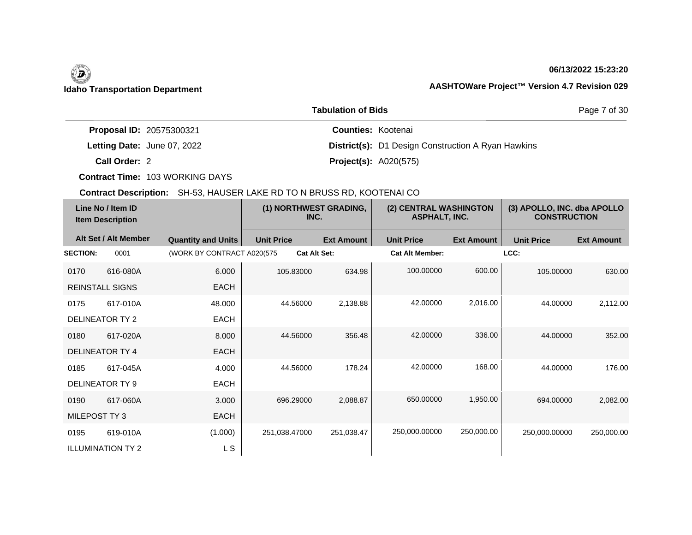# (D)

# **06/13/2022 15:23:20**

Page 7 of 30

## **Idaho Transportation Department AASHTOWare Project™ Version 4.7 Revision 029**

|                             | <b>Tabulation of Bids</b>                                 |
|-----------------------------|-----------------------------------------------------------|
| Proposal ID: 20575300321    | <b>Counties: Kootenai</b>                                 |
| Letting Date: June 07, 2022 | <b>District(s):</b> D1 Design Construction A Ryan Hawkins |
| Call Order: 2               | <b>Project(s): A020(575)</b>                              |

**Contract Time:** 103 WORKING DAYS

| Line No / Item ID<br><b>Item Description</b> |                          | (1) NORTHWEST GRADING,<br>INC. |                   | (2) CENTRAL WASHINGTON<br><b>ASPHALT, INC.</b> |                        | (3) APOLLO, INC. dba APOLLO<br><b>CONSTRUCTION</b> |                   |                   |
|----------------------------------------------|--------------------------|--------------------------------|-------------------|------------------------------------------------|------------------------|----------------------------------------------------|-------------------|-------------------|
|                                              | Alt Set / Alt Member     | <b>Quantity and Units</b>      | <b>Unit Price</b> | <b>Ext Amount</b>                              | <b>Unit Price</b>      | <b>Ext Amount</b>                                  | <b>Unit Price</b> | <b>Ext Amount</b> |
| <b>SECTION:</b>                              | 0001                     | (WORK BY CONTRACT A020(575)    |                   | <b>Cat Alt Set:</b>                            | <b>Cat Alt Member:</b> |                                                    | LCC:              |                   |
| 0170                                         | 616-080A                 | 6.000                          | 105.83000         | 634.98                                         | 100.00000              | 600.00                                             | 105.00000         | 630.00            |
|                                              | <b>REINSTALL SIGNS</b>   | <b>EACH</b>                    |                   |                                                |                        |                                                    |                   |                   |
| 0175                                         | 617-010A                 | 48.000                         | 44.56000          | 2,138.88                                       | 42.00000               | 2,016.00                                           | 44.00000          | 2,112.00          |
|                                              | <b>DELINEATOR TY 2</b>   | EACH                           |                   |                                                |                        |                                                    |                   |                   |
| 0180                                         | 617-020A                 | 8.000                          | 44.56000          | 356.48                                         | 42.00000               | 336.00                                             | 44.00000          | 352.00            |
|                                              | DELINEATOR TY 4          | <b>EACH</b>                    |                   |                                                |                        |                                                    |                   |                   |
| 0185                                         | 617-045A                 | 4.000                          | 44.56000          | 178.24                                         | 42.00000               | 168.00                                             | 44.00000          | 176.00            |
| <b>DELINEATOR TY 9</b>                       |                          | <b>EACH</b>                    |                   |                                                |                        |                                                    |                   |                   |
| 0190                                         | 617-060A                 | 3.000                          | 696.29000         | 2,088.87                                       | 650,00000              | 1,950.00                                           | 694.00000         | 2,082.00          |
| MILEPOST TY 3                                |                          | <b>EACH</b>                    |                   |                                                |                        |                                                    |                   |                   |
| 0195                                         | 619-010A                 | (1.000)                        | 251,038.47000     | 251,038.47                                     | 250,000.00000          | 250,000.00                                         | 250,000.00000     | 250,000.00        |
|                                              | <b>ILLUMINATION TY 2</b> | L S                            |                   |                                                |                        |                                                    |                   |                   |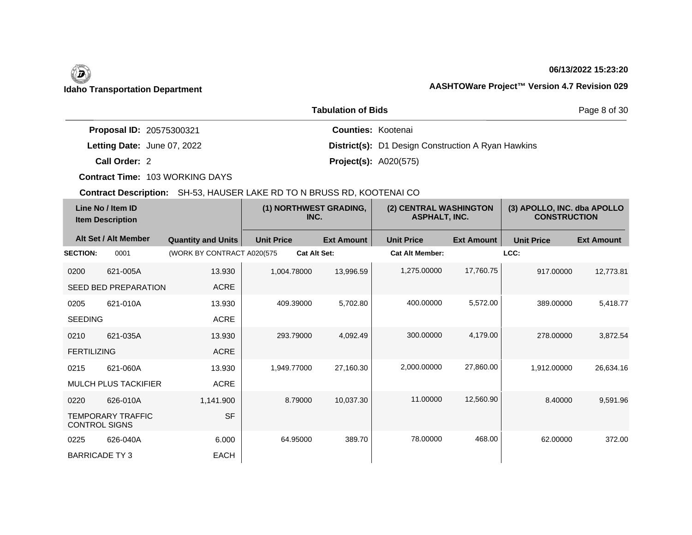## **06/13/2022 15:23:20**

Page 8 of 30

| <b>Proposal ID: 20575300321</b> | <b>Counties: Kootenai</b>                                 |
|---------------------------------|-----------------------------------------------------------|
| Letting Date: June 07, 2022     | <b>District(s):</b> D1 Design Construction A Ryan Hawkins |
| Call Order: 2                   | <b>Project(s): A020(575)</b>                              |

**Tabulation of Bids**

**Contract Time:** 103 WORKING DAYS

| Line No / Item ID<br><b>Item Description</b> |                             | (1) NORTHWEST GRADING,<br>INC. |                     | (2) CENTRAL WASHINGTON<br><b>ASPHALT, INC.</b> |                        | (3) APOLLO, INC. dba APOLLO<br><b>CONSTRUCTION</b> |                   |                   |
|----------------------------------------------|-----------------------------|--------------------------------|---------------------|------------------------------------------------|------------------------|----------------------------------------------------|-------------------|-------------------|
|                                              | Alt Set / Alt Member        | <b>Quantity and Units</b>      | <b>Unit Price</b>   | <b>Ext Amount</b>                              | <b>Unit Price</b>      | <b>Ext Amount</b>                                  | <b>Unit Price</b> | <b>Ext Amount</b> |
| <b>SECTION:</b>                              | 0001                        | (WORK BY CONTRACT A020(575     | <b>Cat Alt Set:</b> |                                                | <b>Cat Alt Member:</b> |                                                    | LCC:              |                   |
| 0200                                         | 621-005A                    | 13.930                         | 1.004.78000         | 13,996.59                                      | 1.275.00000            | 17,760.75                                          | 917.00000         | 12,773.81         |
|                                              | <b>SEED BED PREPARATION</b> | <b>ACRE</b>                    |                     |                                                |                        |                                                    |                   |                   |
| 0205                                         | 621-010A                    | 13.930                         | 409.39000           | 5,702.80                                       | 400.00000              | 5,572.00                                           | 389.00000         | 5,418.77          |
| <b>SEEDING</b>                               |                             | <b>ACRE</b>                    |                     |                                                |                        |                                                    |                   |                   |
| 0210                                         | 621-035A                    | 13.930                         | 293.79000           | 4,092.49                                       | 300.00000              | 4,179.00                                           | 278,00000         | 3,872.54          |
| <b>FERTILIZING</b>                           |                             | <b>ACRE</b>                    |                     |                                                |                        |                                                    |                   |                   |
| 0215                                         | 621-060A                    | 13.930                         | 1,949.77000         | 27,160.30                                      | 2,000.00000            | 27,860.00                                          | 1,912.00000       | 26,634.16         |
|                                              | <b>MULCH PLUS TACKIFIER</b> | <b>ACRE</b>                    |                     |                                                |                        |                                                    |                   |                   |
| 0220                                         | 626-010A                    | 1,141.900                      | 8.79000             | 10,037.30                                      | 11.00000               | 12,560.90                                          | 8.40000           | 9,591.96          |
| <b>CONTROL SIGNS</b>                         | <b>TEMPORARY TRAFFIC</b>    | <b>SF</b>                      |                     |                                                |                        |                                                    |                   |                   |
| 0225                                         | 626-040A                    | 6.000                          | 64.95000            | 389.70                                         | 78.00000               | 468.00                                             | 62.00000          | 372.00            |
| <b>BARRICADE TY3</b>                         |                             | <b>EACH</b>                    |                     |                                                |                        |                                                    |                   |                   |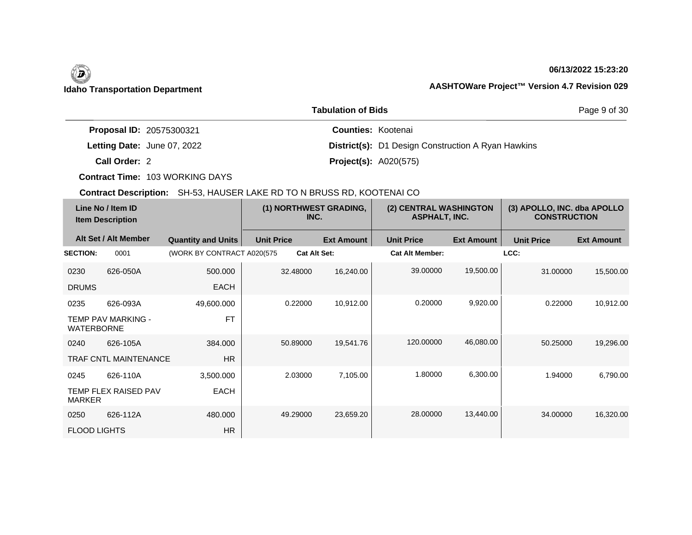# **06/13/2022 15:23:20**

|                                 | Page 9 of 30                                              |  |
|---------------------------------|-----------------------------------------------------------|--|
| <b>Proposal ID: 20575300321</b> | <b>Counties: Kootenai</b>                                 |  |
| Letting Date: June 07, 2022     | <b>District(s):</b> D1 Design Construction A Ryan Hawkins |  |
| Call Order: 2                   | <b>Project(s): A020(575)</b>                              |  |

**Contract Time:** 103 WORKING DAYS

| Line No / Item ID<br><b>Item Description</b> |                              |                             | (1) NORTHWEST GRADING,<br>INC. |                     | (2) CENTRAL WASHINGTON<br><b>ASPHALT, INC.</b> |                        | (3) APOLLO, INC. dba APOLLO<br><b>CONSTRUCTION</b> |                   |                   |
|----------------------------------------------|------------------------------|-----------------------------|--------------------------------|---------------------|------------------------------------------------|------------------------|----------------------------------------------------|-------------------|-------------------|
|                                              | Alt Set / Alt Member         | <b>Quantity and Units</b>   | <b>Unit Price</b>              |                     | <b>Ext Amount</b>                              | <b>Unit Price</b>      | <b>Ext Amount</b>                                  | <b>Unit Price</b> | <b>Ext Amount</b> |
| <b>SECTION:</b>                              | 0001                         | (WORK BY CONTRACT A020(575) |                                | <b>Cat Alt Set:</b> |                                                | <b>Cat Alt Member:</b> |                                                    | LCC:              |                   |
| 0230                                         | 626-050A                     | 500.000                     |                                | 32.48000            | 16,240.00                                      | 39.00000               | 19,500.00                                          | 31,00000          | 15,500.00         |
| <b>DRUMS</b>                                 |                              | <b>EACH</b>                 |                                |                     |                                                |                        |                                                    |                   |                   |
| 0235                                         | 626-093A                     | 49,600.000                  |                                | 0.22000             | 10,912.00                                      | 0.20000                | 9,920.00                                           | 0.22000           | 10,912.00         |
| <b>WATERBORNE</b>                            | TEMP PAV MARKING -           | <b>FT</b>                   |                                |                     |                                                |                        |                                                    |                   |                   |
| 0240                                         | 626-105A                     | 384.000                     |                                | 50.89000            | 19,541.76                                      | 120.00000              | 46,080.00                                          | 50.25000          | 19,296.00         |
|                                              | <b>TRAF CNTL MAINTENANCE</b> | <b>HR</b>                   |                                |                     |                                                |                        |                                                    |                   |                   |
| 0245                                         | 626-110A                     | 3,500.000                   |                                | 2.03000             | 7,105.00                                       | 1.80000                | 6,300.00                                           | 1.94000           | 6,790.00          |
| <b>MARKER</b>                                | <b>TEMP FLEX RAISED PAV</b>  | EACH                        |                                |                     |                                                |                        |                                                    |                   |                   |
| 0250                                         | 626-112A                     | 480,000                     |                                | 49.29000            | 23,659.20                                      | 28.00000               | 13,440.00                                          | 34.00000          | 16,320.00         |
| <b>FLOOD LIGHTS</b>                          |                              | <b>HR</b>                   |                                |                     |                                                |                        |                                                    |                   |                   |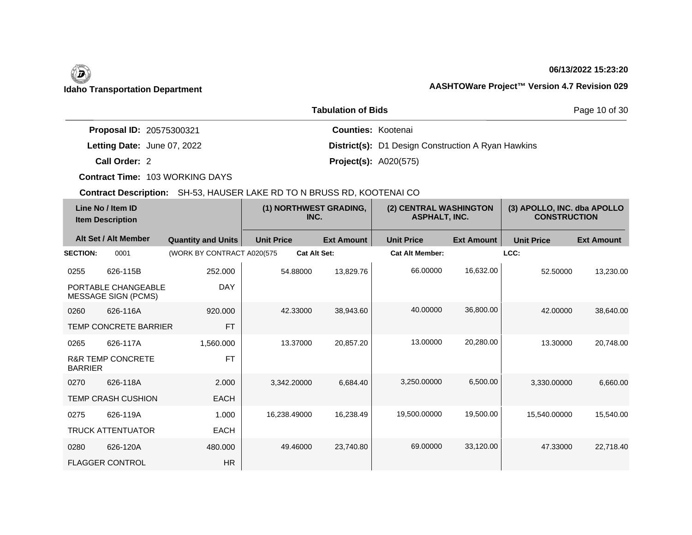## **06/13/2022 15:23:20**

Page 10 of 30

|                                 | <b>Tabulation of Bids</b>                                 |
|---------------------------------|-----------------------------------------------------------|
| <b>Proposal ID: 20575300321</b> | <b>Counties: Kootenai</b>                                 |
| Letting Date: June 07, 2022     | <b>District(s):</b> D1 Design Construction A Ryan Hawkins |
| Call Order: 2                   | <b>Project(s): A020(575)</b>                              |

**Contract Time:** 103 WORKING DAYS

| Line No / Item ID<br><b>Item Description</b> |                                                   | (1) NORTHWEST GRADING,<br>INC. |                   | (2) CENTRAL WASHINGTON<br><b>ASPHALT, INC.</b> |                        | (3) APOLLO, INC. dba APOLLO<br><b>CONSTRUCTION</b> |                   |                   |
|----------------------------------------------|---------------------------------------------------|--------------------------------|-------------------|------------------------------------------------|------------------------|----------------------------------------------------|-------------------|-------------------|
|                                              | Alt Set / Alt Member                              | <b>Quantity and Units</b>      | <b>Unit Price</b> | <b>Ext Amount</b>                              | <b>Unit Price</b>      | <b>Ext Amount</b>                                  | <b>Unit Price</b> | <b>Ext Amount</b> |
| <b>SECTION:</b>                              | 0001                                              | (WORK BY CONTRACT A020(575     |                   | <b>Cat Alt Set:</b>                            | <b>Cat Alt Member:</b> |                                                    | LCC:              |                   |
| 0255                                         | 626-115B                                          | 252.000                        | 54.88000          | 13,829.76                                      | 66.00000               | 16,632.00                                          | 52,50000          | 13,230.00         |
|                                              | PORTABLE CHANGEABLE<br><b>MESSAGE SIGN (PCMS)</b> | <b>DAY</b>                     |                   |                                                |                        |                                                    |                   |                   |
| 0260                                         | 626-116A                                          | 920.000                        | 42.33000          | 38.943.60                                      | 40.00000               | 36,800.00                                          | 42.00000          | 38,640.00         |
|                                              | <b>TEMP CONCRETE BARRIER</b>                      | <b>FT</b>                      |                   |                                                |                        |                                                    |                   |                   |
| 0265                                         | 626-117A                                          | 1,560.000                      | 13.37000          | 20,857.20                                      | 13.00000               | 20,280.00                                          | 13.30000          | 20,748.00         |
| <b>BARRIER</b>                               | <b>R&amp;R TEMP CONCRETE</b>                      | <b>FT</b>                      |                   |                                                |                        |                                                    |                   |                   |
| 0270                                         | 626-118A                                          | 2.000                          | 3,342.20000       | 6,684.40                                       | 3,250.00000            | 6,500.00                                           | 3,330.00000       | 6,660.00          |
|                                              | <b>TEMP CRASH CUSHION</b>                         | <b>EACH</b>                    |                   |                                                |                        |                                                    |                   |                   |
| 0275                                         | 626-119A                                          | 1.000                          | 16,238.49000      | 16,238.49                                      | 19,500.00000           | 19,500.00                                          | 15,540.00000      | 15,540.00         |
|                                              | <b>TRUCK ATTENTUATOR</b>                          | EACH                           |                   |                                                |                        |                                                    |                   |                   |
| 0280                                         | 626-120A                                          | 480,000                        | 49.46000          | 23,740.80                                      | 69.00000               | 33,120.00                                          | 47.33000          | 22,718.40         |
|                                              | <b>FLAGGER CONTROL</b>                            | HR                             |                   |                                                |                        |                                                    |                   |                   |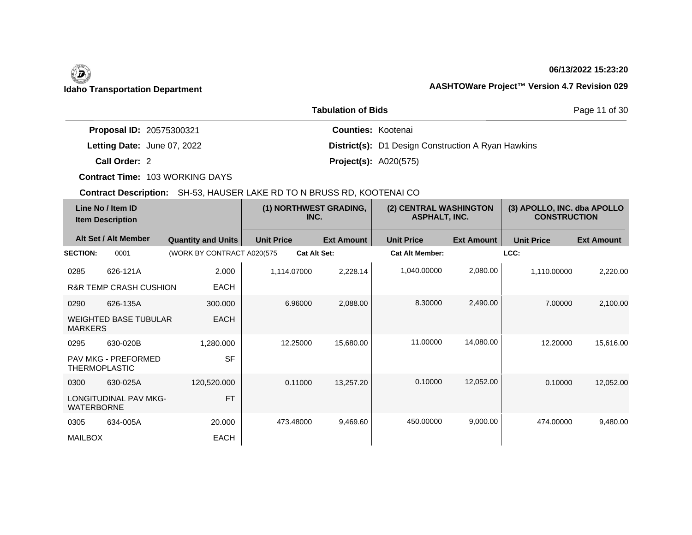## **06/13/2022 15:23:20**

Page 11 of 30

|                                 | <b>Tabulation of Bids</b>                                 |
|---------------------------------|-----------------------------------------------------------|
| <b>Proposal ID: 20575300321</b> | <b>Counties: Kootenai</b>                                 |
| Letting Date: June 07, 2022     | <b>District(s):</b> D1 Design Construction A Ryan Hawkins |
| Call Order: 2                   | <b>Project(s): A020(575)</b>                              |

**Contract Time:** 103 WORKING DAYS

| Line No / Item ID<br><b>Item Description</b> |                                   | (1) NORTHWEST GRADING,<br>INC. |                     | (2) CENTRAL WASHINGTON<br><b>ASPHALT, INC.</b> |                        | (3) APOLLO, INC. dba APOLLO<br><b>CONSTRUCTION</b> |                   |                   |
|----------------------------------------------|-----------------------------------|--------------------------------|---------------------|------------------------------------------------|------------------------|----------------------------------------------------|-------------------|-------------------|
|                                              | Alt Set / Alt Member              | <b>Quantity and Units</b>      | <b>Unit Price</b>   | <b>Ext Amount</b>                              | <b>Unit Price</b>      | <b>Ext Amount</b>                                  | <b>Unit Price</b> | <b>Ext Amount</b> |
| <b>SECTION:</b>                              | 0001                              | (WORK BY CONTRACT A020(575)    | <b>Cat Alt Set:</b> |                                                | <b>Cat Alt Member:</b> |                                                    | LCC:              |                   |
| 0285                                         | 626-121A                          | 2.000                          | 1,114.07000         | 2,228.14                                       | 1,040.00000            | 2,080.00                                           | 1,110.00000       | 2,220.00          |
|                                              | <b>R&amp;R TEMP CRASH CUSHION</b> | <b>EACH</b>                    |                     |                                                |                        |                                                    |                   |                   |
| 0290                                         | 626-135A                          | 300,000                        | 6.96000             | 2,088.00                                       | 8.30000                | 2,490.00                                           | 7.00000           | 2,100.00          |
| <b>MARKERS</b>                               | <b>WEIGHTED BASE TUBULAR</b>      | <b>EACH</b>                    |                     |                                                |                        |                                                    |                   |                   |
| 0295                                         | 630-020B                          | 1,280.000                      | 12.25000            | 15,680.00                                      | 11.00000               | 14,080.00                                          | 12.20000          | 15,616.00         |
| <b>THERMOPLASTIC</b>                         | PAV MKG - PREFORMED               | <b>SF</b>                      |                     |                                                |                        |                                                    |                   |                   |
| 0300                                         | 630-025A                          | 120,520.000                    | 0.11000             | 13,257.20                                      | 0.10000                | 12,052.00                                          | 0.10000           | 12,052.00         |
| <b>WATERBORNE</b>                            | <b>LONGITUDINAL PAV MKG-</b>      | <b>FT</b>                      |                     |                                                |                        |                                                    |                   |                   |
| 0305                                         | 634-005A                          | 20.000                         | 473.48000           | 9,469.60                                       | 450.00000              | 9,000.00                                           | 474.00000         | 9,480.00          |
| <b>MAILBOX</b>                               |                                   | <b>EACH</b>                    |                     |                                                |                        |                                                    |                   |                   |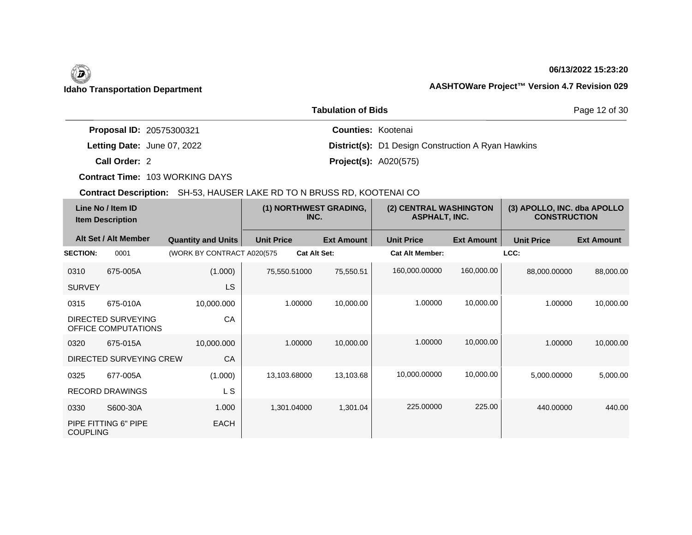## **06/13/2022 15:23:20**

Page 12 of 30

| <b>Proposal ID: 20575300321</b> | <b>Counties: Kootenai</b>                                 |  |
|---------------------------------|-----------------------------------------------------------|--|
| Letting Date: June 07, 2022     | <b>District(s):</b> D1 Design Construction A Ryan Hawkins |  |
| Call Order: 2                   | <b>Project(s): A020(575)</b>                              |  |

**Tabulation of Bids**

**Contract Time:** 103 WORKING DAYS

| Line No / Item ID<br><b>Item Description</b> |                                           |                             |                   | (1) NORTHWEST GRADING,<br>INC. | (2) CENTRAL WASHINGTON<br><b>ASPHALT, INC.</b> |                   | (3) APOLLO, INC. dba APOLLO<br><b>CONSTRUCTION</b> |                   |
|----------------------------------------------|-------------------------------------------|-----------------------------|-------------------|--------------------------------|------------------------------------------------|-------------------|----------------------------------------------------|-------------------|
|                                              | Alt Set / Alt Member                      | <b>Quantity and Units</b>   | <b>Unit Price</b> | <b>Ext Amount</b>              | <b>Unit Price</b>                              | <b>Ext Amount</b> | <b>Unit Price</b>                                  | <b>Ext Amount</b> |
| <b>SECTION:</b>                              | 0001                                      | (WORK BY CONTRACT A020(575) |                   | <b>Cat Alt Set:</b>            | <b>Cat Alt Member:</b>                         |                   | LCC:                                               |                   |
| 0310                                         | 675-005A                                  | (1.000)                     | 75,550.51000      | 75,550.51                      | 160,000.00000                                  | 160,000.00        | 88,000.00000                                       | 88,000.00         |
| <b>SURVEY</b>                                |                                           | <b>LS</b>                   |                   |                                |                                                |                   |                                                    |                   |
| 0315                                         | 675-010A                                  | 10,000.000                  | 1.00000           | 10,000.00                      | 1.00000                                        | 10,000.00         | 1.00000                                            | 10,000.00         |
|                                              | DIRECTED SURVEYING<br>OFFICE COMPUTATIONS | CA                          |                   |                                |                                                |                   |                                                    |                   |
| 0320                                         | 675-015A                                  | 10,000.000                  | 1.00000           | 10,000.00                      | 1.00000                                        | 10,000.00         | 1.00000                                            | 10,000.00         |
|                                              | DIRECTED SURVEYING CREW                   | CA                          |                   |                                |                                                |                   |                                                    |                   |
| 0325                                         | 677-005A                                  | (1.000)                     | 13,103.68000      | 13,103.68                      | 10,000.00000                                   | 10,000.00         | 5,000.00000                                        | 5,000.00          |
|                                              | <b>RECORD DRAWINGS</b>                    | L S                         |                   |                                |                                                |                   |                                                    |                   |
| 0330                                         | S600-30A                                  | 1.000                       | 1,301.04000       | 1,301.04                       | 225.00000                                      | 225.00            | 440.00000                                          | 440.00            |
| <b>COUPLING</b>                              | PIPE FITTING 6" PIPE                      | <b>EACH</b>                 |                   |                                |                                                |                   |                                                    |                   |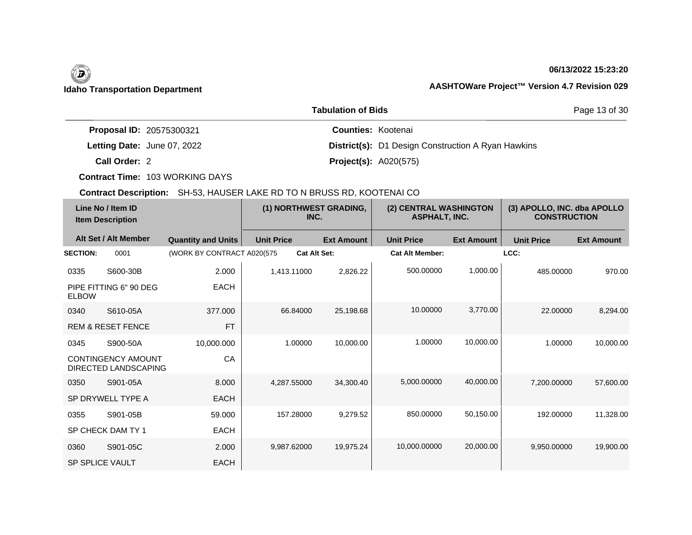## **06/13/2022 15:23:20**

Page 13 of 30

|                             | <b>Tabulation of Bids</b>                                 |
|-----------------------------|-----------------------------------------------------------|
| Proposal ID: 20575300321    | <b>Counties: Kootenai</b>                                 |
| Letting Date: June 07, 2022 | <b>District(s):</b> D1 Design Construction A Ryan Hawkins |
| Call Order: 2               | <b>Project(s): A020(575)</b>                              |

**Contract Time:** 103 WORKING DAYS

| Line No / Item ID<br><b>Item Description</b> |                                                   | (1) NORTHWEST GRADING,<br>INC. |                     | (2) CENTRAL WASHINGTON<br><b>ASPHALT, INC.</b> |                        | (3) APOLLO, INC. dba APOLLO<br><b>CONSTRUCTION</b> |                   |                   |
|----------------------------------------------|---------------------------------------------------|--------------------------------|---------------------|------------------------------------------------|------------------------|----------------------------------------------------|-------------------|-------------------|
|                                              | Alt Set / Alt Member                              | <b>Quantity and Units</b>      | <b>Unit Price</b>   | <b>Ext Amount</b>                              | <b>Unit Price</b>      | <b>Ext Amount</b>                                  | <b>Unit Price</b> | <b>Ext Amount</b> |
| <b>SECTION:</b>                              | 0001                                              | (WORK BY CONTRACT A020(575     | <b>Cat Alt Set:</b> |                                                | <b>Cat Alt Member:</b> |                                                    | LCC:              |                   |
| 0335                                         | S600-30B                                          | 2.000                          | 1.413.11000         | 2,826.22                                       | 500.00000              | 1,000.00                                           | 485.00000         | 970.00            |
| <b>ELBOW</b>                                 | PIPE FITTING 6" 90 DEG                            | <b>EACH</b>                    |                     |                                                |                        |                                                    |                   |                   |
| 0340                                         | S610-05A                                          | 377.000                        | 66.84000            | 25,198.68                                      | 10.00000               | 3.770.00                                           | 22,00000          | 8.294.00          |
|                                              | <b>REM &amp; RESET FENCE</b>                      | <b>FT</b>                      |                     |                                                |                        |                                                    |                   |                   |
| 0345                                         | S900-50A                                          | 10,000.000                     | 1.00000             | 10,000.00                                      | 1.00000                | 10,000.00                                          | 1.00000           | 10,000.00         |
|                                              | <b>CONTINGENCY AMOUNT</b><br>DIRECTED LANDSCAPING | CA                             |                     |                                                |                        |                                                    |                   |                   |
| 0350                                         | S901-05A                                          | 8.000                          | 4,287.55000         | 34,300.40                                      | 5,000.00000            | 40,000.00                                          | 7.200.00000       | 57,600.00         |
|                                              | SP DRYWELL TYPE A                                 | <b>EACH</b>                    |                     |                                                |                        |                                                    |                   |                   |
| 0355                                         | S901-05B                                          | 59.000                         | 157.28000           | 9,279.52                                       | 850.00000              | 50,150.00                                          | 192.00000         | 11,328.00         |
|                                              | SP CHECK DAM TY 1                                 | <b>EACH</b>                    |                     |                                                |                        |                                                    |                   |                   |
| 0360                                         | S901-05C                                          | 2.000                          | 9.987.62000         | 19,975.24                                      | 10,000.00000           | 20,000.00                                          | 9.950.00000       | 19,900.00         |
| <b>SP SPLICE VAULT</b>                       |                                                   | <b>EACH</b>                    |                     |                                                |                        |                                                    |                   |                   |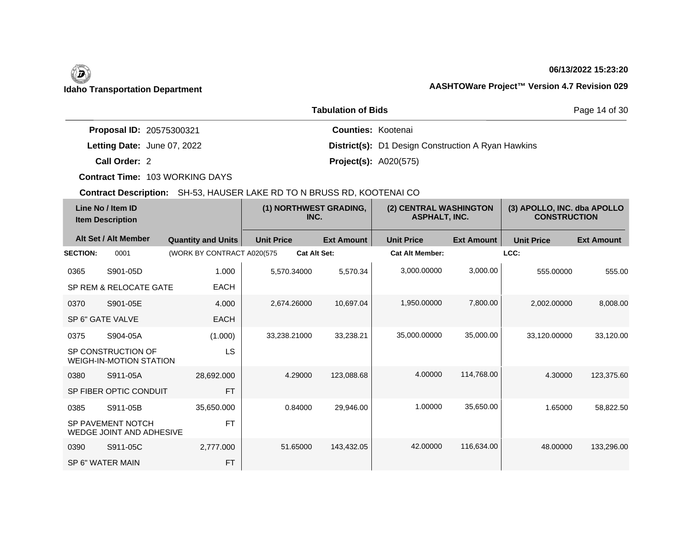## **06/13/2022 15:23:20**

|                                 | Page 14 of 30                                             |  |
|---------------------------------|-----------------------------------------------------------|--|
| <b>Proposal ID: 20575300321</b> | <b>Counties: Kootenai</b>                                 |  |
| Letting Date: June 07, 2022     | <b>District(s):</b> D1 Design Construction A Ryan Hawkins |  |
| Call Order: 2                   | <b>Project(s): A020(575)</b>                              |  |

**Contract Time:** 103 WORKING DAYS

| Line No / Item ID<br><b>Item Description</b> |                                                             | (1) NORTHWEST GRADING,<br>INC. |                     | (2) CENTRAL WASHINGTON<br><b>ASPHALT, INC.</b> |                        | (3) APOLLO, INC. dba APOLLO<br><b>CONSTRUCTION</b> |                   |                   |
|----------------------------------------------|-------------------------------------------------------------|--------------------------------|---------------------|------------------------------------------------|------------------------|----------------------------------------------------|-------------------|-------------------|
|                                              | Alt Set / Alt Member                                        | <b>Quantity and Units</b>      | <b>Unit Price</b>   | <b>Ext Amount</b>                              | <b>Unit Price</b>      | <b>Ext Amount</b>                                  | <b>Unit Price</b> | <b>Ext Amount</b> |
| <b>SECTION:</b>                              | 0001                                                        | (WORK BY CONTRACT A020(575     | <b>Cat Alt Set:</b> |                                                | <b>Cat Alt Member:</b> |                                                    | LCC:              |                   |
| 0365                                         | S901-05D                                                    | 1.000                          | 5,570.34000         | 5,570.34                                       | 3,000.00000            | 3,000.00                                           | 555.00000         | 555.00            |
|                                              | SP REM & RELOCATE GATE                                      | <b>EACH</b>                    |                     |                                                |                        |                                                    |                   |                   |
| 0370                                         | S901-05E                                                    | 4.000                          | 2,674.26000         | 10,697.04                                      | 1,950.00000            | 7,800.00                                           | 2,002.00000       | 8,008.00          |
|                                              | SP 6" GATE VALVE                                            | <b>EACH</b>                    |                     |                                                |                        |                                                    |                   |                   |
| 0375                                         | S904-05A                                                    | (1.000)                        | 33,238.21000        | 33,238.21                                      | 35,000.00000           | 35,000.00                                          | 33,120.00000      | 33,120.00         |
|                                              | SP CONSTRUCTION OF<br><b>WEIGH-IN-MOTION STATION</b>        | LS                             |                     |                                                |                        |                                                    |                   |                   |
| 0380                                         | S911-05A                                                    | 28.692.000                     | 4.29000             | 123,088.68                                     | 4.00000                | 114,768.00                                         | 4.30000           | 123,375.60        |
|                                              | SP FIBER OPTIC CONDUIT                                      | <b>FT</b>                      |                     |                                                |                        |                                                    |                   |                   |
| 0385                                         | S911-05B                                                    | 35,650.000                     | 0.84000             | 29.946.00                                      | 1.00000                | 35,650.00                                          | 1.65000           | 58,822.50         |
|                                              | <b>SP PAVEMENT NOTCH</b><br><b>WEDGE JOINT AND ADHESIVE</b> | <b>FT</b>                      |                     |                                                |                        |                                                    |                   |                   |
| 0390                                         | S911-05C                                                    | 2,777.000                      | 51.65000            | 143,432.05                                     | 42.00000               | 116,634.00                                         | 48.00000          | 133,296.00        |
|                                              | SP 6" WATER MAIN                                            | <b>FT</b>                      |                     |                                                |                        |                                                    |                   |                   |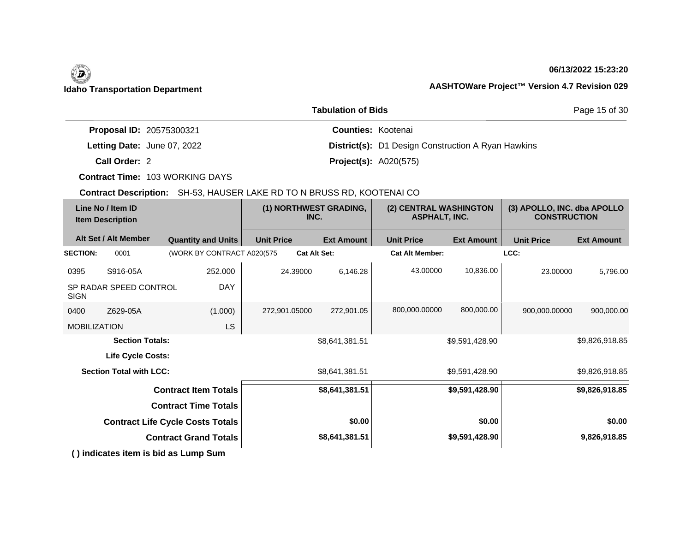# (D)

## **06/13/2022 15:23:20**

Page 15 of 30

## **Idaho Transportation Department AASHTOWare Project™ Version 4.7 Revision 029**

| <b>Tabulation of Bids</b>       |                                                           |  |  |  |  |
|---------------------------------|-----------------------------------------------------------|--|--|--|--|
| <b>Proposal ID: 20575300321</b> | <b>Counties: Kootenai</b>                                 |  |  |  |  |
| Letting Date: June 07, 2022     | <b>District(s):</b> D1 Design Construction A Ryan Hawkins |  |  |  |  |
| Call Order: 2                   | <b>Project(s): A020(575)</b>                              |  |  |  |  |

**Contract Time:** 103 WORKING DAYS

| Line No / Item ID<br><b>Item Description</b> |                                | (1) NORTHWEST GRADING,<br>INC.          |                   | (2) CENTRAL WASHINGTON<br><b>ASPHALT, INC.</b> |                        | (3) APOLLO, INC. dba APOLLO<br><b>CONSTRUCTION</b> |                   |                   |
|----------------------------------------------|--------------------------------|-----------------------------------------|-------------------|------------------------------------------------|------------------------|----------------------------------------------------|-------------------|-------------------|
|                                              | Alt Set / Alt Member           | <b>Quantity and Units</b>               | <b>Unit Price</b> | <b>Ext Amount</b>                              | <b>Unit Price</b>      | <b>Ext Amount</b>                                  | <b>Unit Price</b> | <b>Ext Amount</b> |
| <b>SECTION:</b>                              | 0001                           | (WORK BY CONTRACT A020(575              |                   | <b>Cat Alt Set:</b>                            | <b>Cat Alt Member:</b> |                                                    | LCC:              |                   |
| 0395                                         | S916-05A                       | 252.000                                 | 24.39000          | 6,146.28                                       | 43.00000               | 10,836.00                                          | 23.00000          | 5,796.00          |
| <b>SIGN</b>                                  | SP RADAR SPEED CONTROL         | <b>DAY</b>                              |                   |                                                |                        |                                                    |                   |                   |
| 0400                                         | Z629-05A                       | (1.000)                                 | 272,901.05000     | 272,901.05                                     | 800,000.00000          | 800,000.00                                         | 900,000.00000     | 900,000.00        |
| <b>MOBILIZATION</b>                          |                                | LS                                      |                   |                                                |                        |                                                    |                   |                   |
|                                              | <b>Section Totals:</b>         |                                         |                   | \$8,641,381.51                                 |                        | \$9,591,428.90                                     |                   | \$9,826,918.85    |
|                                              | Life Cycle Costs:              |                                         |                   |                                                |                        |                                                    |                   |                   |
|                                              | <b>Section Total with LCC:</b> |                                         |                   | \$8,641,381.51                                 |                        | \$9,591,428.90                                     |                   | \$9,826,918.85    |
|                                              |                                | <b>Contract Item Totals</b>             |                   | \$8,641,381.51                                 |                        | \$9,591,428.90                                     |                   | \$9,826,918.85    |
|                                              |                                | <b>Contract Time Totals</b>             |                   |                                                |                        |                                                    |                   |                   |
|                                              |                                | <b>Contract Life Cycle Costs Totals</b> |                   | \$0.00                                         |                        | \$0.00                                             |                   | \$0.00            |
|                                              |                                | <b>Contract Grand Totals</b>            |                   | \$8,641,381.51                                 |                        | \$9,591,428.90                                     |                   | 9,826,918.85      |
|                                              |                                | () indicates item is bid as Lump Sum    |                   |                                                |                        |                                                    |                   |                   |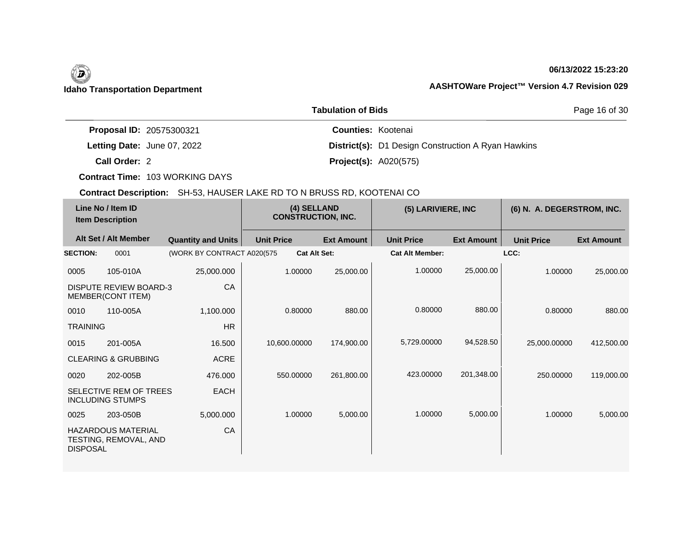## **06/13/2022 15:23:20**

|                                 | Page 16 of 30                                             |  |
|---------------------------------|-----------------------------------------------------------|--|
| <b>Proposal ID: 20575300321</b> | <b>Counties: Kootenai</b>                                 |  |
| Letting Date: June 07, 2022     | <b>District(s):</b> D1 Design Construction A Ryan Hawkins |  |
| Call Order: 2                   | <b>Project(s): A020(575)</b>                              |  |

**Contract Time:** 103 WORKING DAYS

| Line No / Item ID<br><b>Item Description</b> |                                                    | (4) SELLAND<br><b>CONSTRUCTION, INC.</b> |                   | (5) LARIVIERE, INC  |                        | (6) N. A. DEGERSTROM, INC. |                   |                   |
|----------------------------------------------|----------------------------------------------------|------------------------------------------|-------------------|---------------------|------------------------|----------------------------|-------------------|-------------------|
|                                              | Alt Set / Alt Member                               | <b>Quantity and Units</b>                | <b>Unit Price</b> | <b>Ext Amount</b>   | <b>Unit Price</b>      | <b>Ext Amount</b>          | <b>Unit Price</b> | <b>Ext Amount</b> |
| <b>SECTION:</b>                              | 0001                                               | (WORK BY CONTRACT A020(575               |                   | <b>Cat Alt Set:</b> | <b>Cat Alt Member:</b> |                            | LCC:              |                   |
| 0005                                         | 105-010A                                           | 25,000.000                               | 1.00000           | 25,000.00           | 1.00000                | 25,000.00                  | 1.00000           | 25,000.00         |
|                                              | <b>DISPUTE REVIEW BOARD-3</b><br>MEMBER(CONT ITEM) | CA                                       |                   |                     |                        |                            |                   |                   |
| 0010                                         | 110-005A                                           | 1,100.000                                | 0.80000           | 880.00              | 0.80000                | 880.00                     | 0.80000           | 880.00            |
| <b>TRAINING</b>                              |                                                    | HR                                       |                   |                     |                        |                            |                   |                   |
| 0015                                         | 201-005A                                           | 16.500                                   | 10,600.00000      | 174,900.00          | 5,729.00000            | 94,528.50                  | 25,000.00000      | 412,500.00        |
|                                              | <b>CLEARING &amp; GRUBBING</b>                     | <b>ACRE</b>                              |                   |                     |                        |                            |                   |                   |
| 0020                                         | 202-005B                                           | 476,000                                  | 550.00000         | 261,800.00          | 423.00000              | 201,348.00                 | 250.00000         | 119,000.00        |
|                                              | SELECTIVE REM OF TREES<br><b>INCLUDING STUMPS</b>  | <b>EACH</b>                              |                   |                     |                        |                            |                   |                   |
| 0025                                         | 203-050B                                           | 5,000.000                                | 1.00000           | 5,000.00            | 1.00000                | 5,000.00                   | 1.00000           | 5,000.00          |
| <b>DISPOSAL</b>                              | <b>HAZARDOUS MATERIAL</b><br>TESTING, REMOVAL, AND | CA                                       |                   |                     |                        |                            |                   |                   |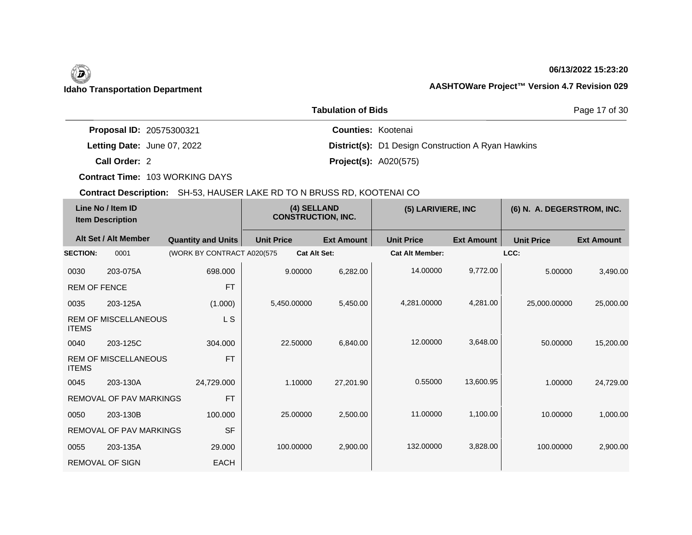## **06/13/2022 15:23:20**

|                                 | <b>Tabulation of Bids</b> |                              |                                                           |  |
|---------------------------------|---------------------------|------------------------------|-----------------------------------------------------------|--|
| <b>Proposal ID: 20575300321</b> |                           | <b>Counties: Kootenai</b>    |                                                           |  |
| Letting Date: June 07, 2022     |                           |                              | <b>District(s):</b> D1 Design Construction A Ryan Hawkins |  |
| Call Order: 2                   |                           | <b>Project(s): A020(575)</b> |                                                           |  |

**Contract Time:** 103 WORKING DAYS

| Line No / Item ID<br><b>Item Description</b> |                                | (4) SELLAND<br><b>CONSTRUCTION, INC.</b> |                   | (5) LARIVIERE, INC  |                        | (6) N. A. DEGERSTROM, INC. |                   |                   |
|----------------------------------------------|--------------------------------|------------------------------------------|-------------------|---------------------|------------------------|----------------------------|-------------------|-------------------|
|                                              | Alt Set / Alt Member           | <b>Quantity and Units</b>                | <b>Unit Price</b> | <b>Ext Amount</b>   | <b>Unit Price</b>      | <b>Ext Amount</b>          | <b>Unit Price</b> | <b>Ext Amount</b> |
| <b>SECTION:</b>                              | 0001                           | (WORK BY CONTRACT A020(575               |                   | <b>Cat Alt Set:</b> | <b>Cat Alt Member:</b> |                            | LCC:              |                   |
| 0030                                         | 203-075A                       | 698.000                                  | 9.00000           | 6,282.00            | 14.00000               | 9,772.00                   | 5.00000           | 3,490.00          |
| REM OF FENCE                                 |                                | <b>FT</b>                                |                   |                     |                        |                            |                   |                   |
| 0035                                         | 203-125A                       | (1.000)                                  | 5,450.00000       | 5,450.00            | 4,281.00000            | 4,281.00                   | 25,000.00000      | 25,000.00         |
| <b>ITEMS</b>                                 | <b>REM OF MISCELLANEOUS</b>    | L S                                      |                   |                     |                        |                            |                   |                   |
| 0040                                         | 203-125C                       | 304.000                                  | 22,50000          | 6,840.00            | 12.00000               | 3,648.00                   | 50.00000          | 15,200.00         |
| <b>ITEMS</b>                                 | <b>REM OF MISCELLANEOUS</b>    | <b>FT</b>                                |                   |                     |                        |                            |                   |                   |
| 0045                                         | 203-130A                       | 24,729.000                               | 1.10000           | 27,201.90           | 0.55000                | 13,600.95                  | 1.00000           | 24,729.00         |
|                                              | <b>REMOVAL OF PAV MARKINGS</b> | <b>FT</b>                                |                   |                     |                        |                            |                   |                   |
| 0050                                         | 203-130B                       | 100.000                                  | 25.00000          | 2,500.00            | 11.00000               | 1,100.00                   | 10.00000          | 1,000.00          |
|                                              | <b>REMOVAL OF PAV MARKINGS</b> | <b>SF</b>                                |                   |                     |                        |                            |                   |                   |
| 0055                                         | 203-135A                       | 29.000                                   | 100.00000         | 2,900.00            | 132,00000              | 3,828.00                   | 100.00000         | 2,900.00          |
|                                              | <b>REMOVAL OF SIGN</b>         | <b>EACH</b>                              |                   |                     |                        |                            |                   |                   |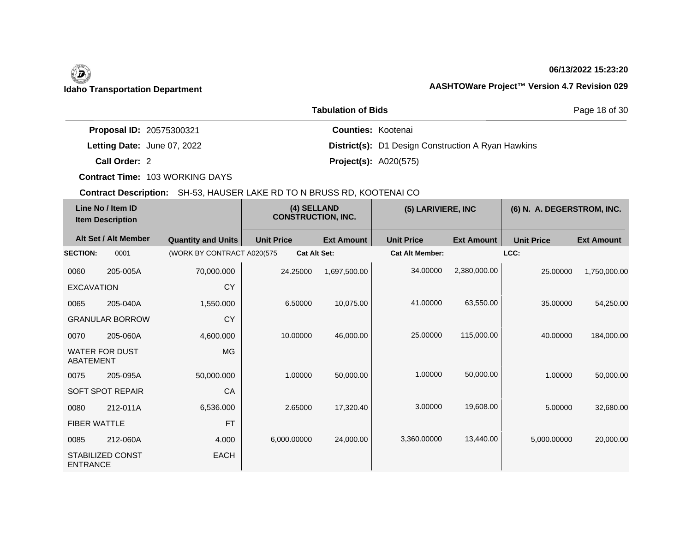## **06/13/2022 15:23:20**

|                                 | Page 18 of 30                                             |  |
|---------------------------------|-----------------------------------------------------------|--|
| <b>Proposal ID: 20575300321</b> | <b>Counties: Kootenai</b>                                 |  |
| Letting Date: June 07, 2022     | <b>District(s):</b> D1 Design Construction A Ryan Hawkins |  |
| Call Order: 2                   | <b>Project(s): A020(575)</b>                              |  |

**Contract Time:** 103 WORKING DAYS

| Line No / Item ID<br><b>Item Description</b> |                         | (4) SELLAND<br><b>CONSTRUCTION, INC.</b> |                   | (5) LARIVIERE, INC  |                   | (6) N. A. DEGERSTROM, INC. |                   |                   |                   |
|----------------------------------------------|-------------------------|------------------------------------------|-------------------|---------------------|-------------------|----------------------------|-------------------|-------------------|-------------------|
|                                              | Alt Set / Alt Member    | <b>Quantity and Units</b>                | <b>Unit Price</b> |                     | <b>Ext Amount</b> | <b>Unit Price</b>          | <b>Ext Amount</b> | <b>Unit Price</b> | <b>Ext Amount</b> |
| <b>SECTION:</b>                              | 0001                    | (WORK BY CONTRACT A020(575               |                   | <b>Cat Alt Set:</b> |                   | <b>Cat Alt Member:</b>     |                   | LCC:              |                   |
| 0060                                         | 205-005A                | 70,000.000                               |                   | 24.25000            | 1,697,500.00      | 34.00000                   | 2,380,000.00      | 25.00000          | 1,750,000.00      |
| <b>EXCAVATION</b>                            |                         | CY                                       |                   |                     |                   |                            |                   |                   |                   |
| 0065                                         | 205-040A                | 1,550.000                                |                   | 6.50000             | 10,075.00         | 41.00000                   | 63,550.00         | 35.00000          | 54,250.00         |
|                                              | <b>GRANULAR BORROW</b>  | <b>CY</b>                                |                   |                     |                   |                            |                   |                   |                   |
| 0070                                         | 205-060A                | 4,600.000                                |                   | 10.00000            | 46,000.00         | 25.00000                   | 115,000.00        | 40.00000          | 184,000.00        |
| ABATEMENT                                    | <b>WATER FOR DUST</b>   | MG                                       |                   |                     |                   |                            |                   |                   |                   |
| 0075                                         | 205-095A                | 50,000.000                               |                   | 1.00000             | 50,000.00         | 1.00000                    | 50,000.00         | 1.00000           | 50,000.00         |
|                                              | <b>SOFT SPOT REPAIR</b> | CA                                       |                   |                     |                   |                            |                   |                   |                   |
| 0080                                         | 212-011A                | 6,536.000                                |                   | 2.65000             | 17,320.40         | 3.00000                    | 19,608.00         | 5.00000           | 32,680.00         |
| <b>FIBER WATTLE</b>                          |                         | <b>FT</b>                                |                   |                     |                   |                            |                   |                   |                   |
| 0085                                         | 212-060A                | 4.000                                    | 6,000.00000       |                     | 24,000.00         | 3,360.00000                | 13,440.00         | 5,000.00000       | 20,000.00         |
| <b>ENTRANCE</b>                              | STABILIZED CONST        | <b>EACH</b>                              |                   |                     |                   |                            |                   |                   |                   |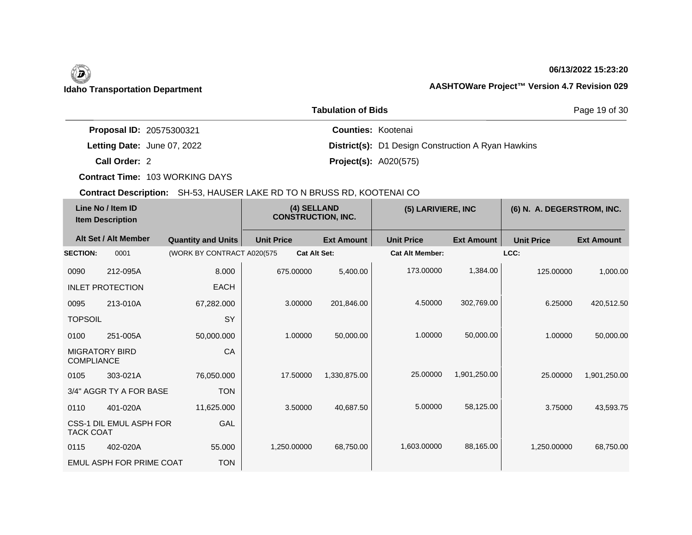# (D)

## **06/13/2022 15:23:20**

## **Idaho Transportation Department AASHTOWare Project™ Version 4.7 Revision 029**

|                                 | Page 19 of 30                                             |  |
|---------------------------------|-----------------------------------------------------------|--|
| <b>Proposal ID: 20575300321</b> | <b>Counties: Kootenai</b>                                 |  |
| Letting Date: June 07, 2022     | <b>District(s):</b> D1 Design Construction A Ryan Hawkins |  |
| Call Order: 2                   | <b>Project(s): A020(575)</b>                              |  |

**Contract Time:** 103 WORKING DAYS

| Line No / Item ID<br><b>Item Description</b> |                          | (4) SELLAND<br><b>CONSTRUCTION, INC.</b> |                     | (5) LARIVIERE, INC |                        | (6) N. A. DEGERSTROM, INC. |                   |                   |
|----------------------------------------------|--------------------------|------------------------------------------|---------------------|--------------------|------------------------|----------------------------|-------------------|-------------------|
|                                              | Alt Set / Alt Member     | <b>Quantity and Units</b>                | <b>Unit Price</b>   | <b>Ext Amount</b>  | <b>Unit Price</b>      | <b>Ext Amount</b>          | <b>Unit Price</b> | <b>Ext Amount</b> |
| <b>SECTION:</b>                              | 0001                     | (WORK BY CONTRACT A020(575               | <b>Cat Alt Set:</b> |                    | <b>Cat Alt Member:</b> |                            | LCC:              |                   |
| 0090                                         | 212-095A                 | 8.000                                    | 675.00000           | 5,400.00           | 173.00000              | 1,384.00                   | 125.00000         | 1,000.00          |
|                                              | <b>INLET PROTECTION</b>  | <b>EACH</b>                              |                     |                    |                        |                            |                   |                   |
| 0095                                         | 213-010A                 | 67,282.000                               | 3.00000             | 201,846.00         | 4.50000                | 302,769.00                 | 6.25000           | 420,512.50        |
| <b>TOPSOIL</b>                               |                          | SY                                       |                     |                    |                        |                            |                   |                   |
| 0100                                         | 251-005A                 | 50,000.000                               | 1.00000             | 50,000.00          | 1.00000                | 50,000.00                  | 1.00000           | 50,000.00         |
| <b>MIGRATORY BIRD</b><br><b>COMPLIANCE</b>   |                          | CA                                       |                     |                    |                        |                            |                   |                   |
| 0105                                         | 303-021A                 | 76,050.000                               | 17.50000            | 1,330,875.00       | 25.00000               | 1,901,250.00               | 25,00000          | 1,901,250.00      |
|                                              | 3/4" AGGR TY A FOR BASE  | <b>TON</b>                               |                     |                    |                        |                            |                   |                   |
| 0110                                         | 401-020A                 | 11,625.000                               | 3.50000             | 40,687.50          | 5.00000                | 58,125.00                  | 3.75000           | 43,593.75         |
| <b>TACK COAT</b>                             | CSS-1 DIL EMUL ASPH FOR  | GAL                                      |                     |                    |                        |                            |                   |                   |
| 0115                                         | 402-020A                 | 55.000                                   | 1,250.00000         | 68,750.00          | 1,603.00000            | 88,165.00                  | 1.250.00000       | 68,750.00         |
|                                              | EMUL ASPH FOR PRIME COAT | <b>TON</b>                               |                     |                    |                        |                            |                   |                   |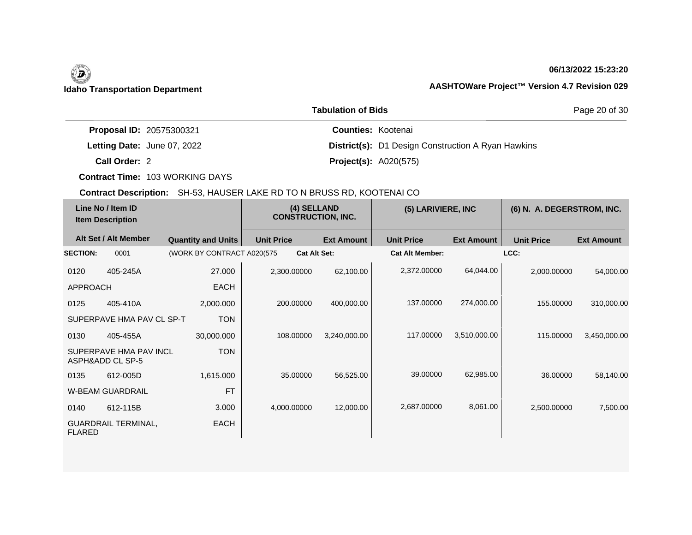## **06/13/2022 15:23:20**

|                                 | Page 20 of 30                                             |  |
|---------------------------------|-----------------------------------------------------------|--|
| <b>Proposal ID: 20575300321</b> | <b>Counties: Kootenai</b>                                 |  |
| Letting Date: June 07, 2022     | <b>District(s):</b> D1 Design Construction A Ryan Hawkins |  |
| Call Order: 2                   | <b>Project(s): A020(575)</b>                              |  |

**Contract Time:** 103 WORKING DAYS

| Line No / Item ID<br><b>Item Description</b> |                                            | (4) SELLAND<br><b>CONSTRUCTION, INC.</b> |                     | (5) LARIVIERE, INC |                        | (6) N. A. DEGERSTROM, INC. |                   |                   |
|----------------------------------------------|--------------------------------------------|------------------------------------------|---------------------|--------------------|------------------------|----------------------------|-------------------|-------------------|
|                                              | Alt Set / Alt Member                       | <b>Quantity and Units</b>                | <b>Unit Price</b>   | <b>Ext Amount</b>  | <b>Unit Price</b>      | <b>Ext Amount</b>          | <b>Unit Price</b> | <b>Ext Amount</b> |
| <b>SECTION:</b>                              | 0001                                       | (WORK BY CONTRACT A020(575)              | <b>Cat Alt Set:</b> |                    | <b>Cat Alt Member:</b> |                            | LCC:              |                   |
| 0120                                         | 405-245A                                   | 27.000                                   | 2,300.00000         | 62,100.00          | 2,372.00000            | 64,044.00                  | 2,000.00000       | 54,000.00         |
| <b>APPROACH</b>                              |                                            | <b>EACH</b>                              |                     |                    |                        |                            |                   |                   |
| 0125                                         | 405-410A                                   | 2,000.000                                | 200.00000           | 400,000.00         | 137.00000              | 274,000.00                 | 155.00000         | 310,000.00        |
|                                              | SUPERPAVE HMA PAV CL SP-T                  | <b>TON</b>                               |                     |                    |                        |                            |                   |                   |
| 0130                                         | 405-455A                                   | 30,000.000                               | 108.00000           | 3,240,000.00       | 117.00000              | 3,510,000.00               | 115.00000         | 3,450,000.00      |
|                                              | SUPERPAVE HMA PAV INCL<br>ASPH&ADD CL SP-5 | <b>TON</b>                               |                     |                    |                        |                            |                   |                   |
| 0135                                         | 612-005D                                   | 1,615.000                                | 35.00000            | 56,525.00          | 39.00000               | 62,985.00                  | 36.00000          | 58,140.00         |
|                                              | <b>W-BEAM GUARDRAIL</b>                    | <b>FT</b>                                |                     |                    |                        |                            |                   |                   |
| 0140                                         | 612-115B                                   | 3.000                                    | 4,000.00000         | 12,000.00          | 2,687.00000            | 8,061.00                   | 2,500.00000       | 7,500.00          |
| <b>FLARED</b>                                | <b>GUARDRAIL TERMINAL,</b>                 | <b>EACH</b>                              |                     |                    |                        |                            |                   |                   |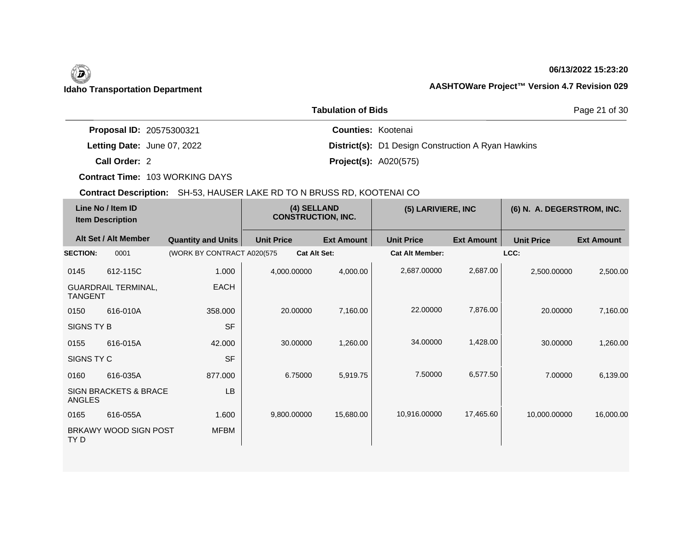# (D)

## **06/13/2022 15:23:20**

Page 21 of 30

# **Idaho Transportation Department AASHTOWare Project™ Version 4.7 Revision 029**

| <b>Tabulation of Bids</b>   |                                                           |  |  |  |  |  |
|-----------------------------|-----------------------------------------------------------|--|--|--|--|--|
| Proposal ID: 20575300321    | <b>Counties: Kootenai</b>                                 |  |  |  |  |  |
| Letting Date: June 07, 2022 | <b>District(s):</b> D1 Design Construction A Ryan Hawkins |  |  |  |  |  |
| Call Order: 2               | <b>Project(s): A020(575)</b>                              |  |  |  |  |  |

**Contract Time:** 103 WORKING DAYS

| Line No / Item ID<br><b>Item Description</b> |                                  | (4) SELLAND<br><b>CONSTRUCTION, INC.</b> |                   | (5) LARIVIERE, INC  |                        | (6) N. A. DEGERSTROM, INC. |                   |                   |
|----------------------------------------------|----------------------------------|------------------------------------------|-------------------|---------------------|------------------------|----------------------------|-------------------|-------------------|
|                                              | Alt Set / Alt Member             | <b>Quantity and Units</b>                | <b>Unit Price</b> | <b>Ext Amount</b>   | <b>Unit Price</b>      | <b>Ext Amount</b>          | <b>Unit Price</b> | <b>Ext Amount</b> |
| <b>SECTION:</b>                              | 0001                             | (WORK BY CONTRACT A020(575               |                   | <b>Cat Alt Set:</b> | <b>Cat Alt Member:</b> |                            | LCC:              |                   |
| 0145                                         | 612-115C                         | 1.000                                    | 4,000.00000       | 4,000.00            | 2,687.00000            | 2,687.00                   | 2,500.00000       | 2,500.00          |
| <b>TANGENT</b>                               | <b>GUARDRAIL TERMINAL,</b>       | <b>EACH</b>                              |                   |                     |                        |                            |                   |                   |
| 0150                                         | 616-010A                         | 358.000                                  | 20.00000          | 7,160.00            | 22.00000               | 7,876.00                   | 20.00000          | 7,160.00          |
| SIGNS TY B                                   |                                  | <b>SF</b>                                |                   |                     |                        |                            |                   |                   |
| 0155                                         | 616-015A                         | 42.000                                   | 30.00000          | 1,260.00            | 34.00000               | 1,428.00                   | 30.00000          | 1,260.00          |
| SIGNS TY C                                   |                                  | <b>SF</b>                                |                   |                     |                        |                            |                   |                   |
| 0160                                         | 616-035A                         | 877.000                                  | 6.75000           | 5,919.75            | 7.50000                | 6,577.50                   | 7.00000           | 6,139.00          |
| <b>ANGLES</b>                                | <b>SIGN BRACKETS &amp; BRACE</b> | <b>LB</b>                                |                   |                     |                        |                            |                   |                   |
| 0165                                         | 616-055A                         | 1.600                                    | 9,800.00000       | 15,680.00           | 10,916.00000           | 17,465.60                  | 10,000.00000      | 16,000.00         |
| TY D                                         | BRKAWY WOOD SIGN POST            | <b>MFBM</b>                              |                   |                     |                        |                            |                   |                   |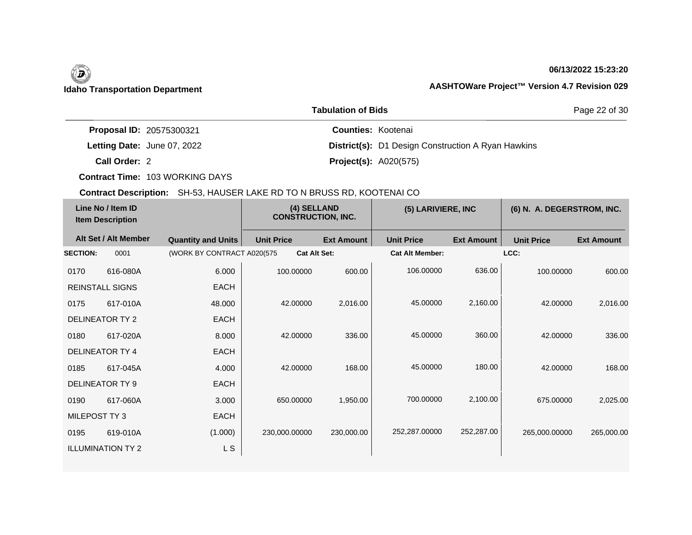### **06/13/2022 15:23:20**

|                             | <b>Tabulation of Bids</b>                                 | Page 22 of 30 |  |  |
|-----------------------------|-----------------------------------------------------------|---------------|--|--|
| Proposal ID: 20575300321    | <b>Counties: Kootenai</b>                                 |               |  |  |
| Letting Date: June 07, 2022 | <b>District(s):</b> D1 Design Construction A Ryan Hawkins |               |  |  |
| Call Order: 2               | <b>Project(s): A020(575)</b>                              |               |  |  |

**Contract Time:** 103 WORKING DAYS

| Line No / Item ID<br><b>Item Description</b> |                          | (4) SELLAND<br><b>CONSTRUCTION, INC.</b> |                     | (5) LARIVIERE, INC |                        | (6) N. A. DEGERSTROM, INC. |                   |                   |
|----------------------------------------------|--------------------------|------------------------------------------|---------------------|--------------------|------------------------|----------------------------|-------------------|-------------------|
|                                              | Alt Set / Alt Member     | <b>Quantity and Units</b>                | <b>Unit Price</b>   | <b>Ext Amount</b>  | <b>Unit Price</b>      | <b>Ext Amount</b>          | <b>Unit Price</b> | <b>Ext Amount</b> |
| <b>SECTION:</b>                              | 0001                     | (WORK BY CONTRACT A020(575               | <b>Cat Alt Set:</b> |                    | <b>Cat Alt Member:</b> |                            | LCC:              |                   |
| 0170                                         | 616-080A                 | 6.000                                    | 100.00000           | 600.00             | 106.00000              | 636.00                     | 100.00000         | 600.00            |
|                                              | <b>REINSTALL SIGNS</b>   | <b>EACH</b>                              |                     |                    |                        |                            |                   |                   |
| 0175                                         | 617-010A                 | 48.000                                   | 42.00000            | 2,016.00           | 45.00000               | 2,160.00                   | 42.00000          | 2,016.00          |
|                                              | DELINEATOR TY 2          | <b>EACH</b>                              |                     |                    |                        |                            |                   |                   |
| 0180                                         | 617-020A                 | 8.000                                    | 42.00000            | 336.00             | 45.00000               | 360.00                     | 42.00000          | 336.00            |
|                                              | DELINEATOR TY 4          | <b>EACH</b>                              |                     |                    |                        |                            |                   |                   |
| 0185                                         | 617-045A                 | 4.000                                    | 42.00000            | 168.00             | 45.00000               | 180.00                     | 42.00000          | 168.00            |
|                                              | DELINEATOR TY 9          | <b>EACH</b>                              |                     |                    |                        |                            |                   |                   |
| 0190                                         | 617-060A                 | 3.000                                    | 650.00000           | 1,950.00           | 700.00000              | 2,100.00                   | 675,00000         | 2,025.00          |
| MILEPOST TY 3                                |                          | <b>EACH</b>                              |                     |                    |                        |                            |                   |                   |
| 0195                                         | 619-010A                 | (1.000)                                  | 230,000.00000       | 230,000.00         | 252,287.00000          | 252,287.00                 | 265,000.00000     | 265,000.00        |
|                                              | <b>ILLUMINATION TY 2</b> | L S                                      |                     |                    |                        |                            |                   |                   |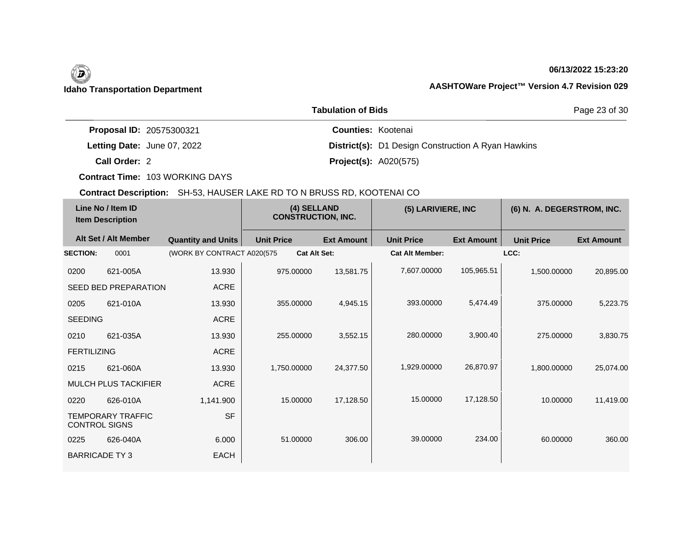### **06/13/2022 15:23:20**

|                                 | Page 23 of 30                                             |  |
|---------------------------------|-----------------------------------------------------------|--|
| <b>Proposal ID: 20575300321</b> | <b>Counties: Kootenai</b>                                 |  |
| Letting Date: June 07, 2022     | <b>District(s):</b> D1 Design Construction A Ryan Hawkins |  |
| Call Order: 2                   | <b>Project(s): A020(575)</b>                              |  |

**Contract Time:** 103 WORKING DAYS

| Line No / Item ID<br><b>Item Description</b> |                             | (4) SELLAND<br><b>CONSTRUCTION, INC.</b> |                     | (5) LARIVIERE, INC |                        | (6) N. A. DEGERSTROM, INC. |                   |                   |
|----------------------------------------------|-----------------------------|------------------------------------------|---------------------|--------------------|------------------------|----------------------------|-------------------|-------------------|
|                                              | Alt Set / Alt Member        | <b>Quantity and Units</b>                | <b>Unit Price</b>   | <b>Ext Amount</b>  | <b>Unit Price</b>      | <b>Ext Amount</b>          | <b>Unit Price</b> | <b>Ext Amount</b> |
| <b>SECTION:</b>                              | 0001                        | (WORK BY CONTRACT A020(575               | <b>Cat Alt Set:</b> |                    | <b>Cat Alt Member:</b> |                            | LCC:              |                   |
| 0200                                         | 621-005A                    | 13.930                                   | 975.00000           | 13,581.75          | 7,607.00000            | 105,965.51                 | 1,500.00000       | 20,895.00         |
|                                              | SEED BED PREPARATION        | <b>ACRE</b>                              |                     |                    |                        |                            |                   |                   |
| 0205                                         | 621-010A                    | 13.930                                   | 355.00000           | 4,945.15           | 393.00000              | 5,474.49                   | 375,00000         | 5,223.75          |
| <b>SEEDING</b>                               |                             | <b>ACRE</b>                              |                     |                    |                        |                            |                   |                   |
| 0210                                         | 621-035A                    | 13.930                                   | 255.00000           | 3,552.15           | 280.00000              | 3,900.40                   | 275.00000         | 3,830.75          |
| <b>FERTILIZING</b>                           |                             | <b>ACRE</b>                              |                     |                    |                        |                            |                   |                   |
| 0215                                         | 621-060A                    | 13.930                                   | 1,750.00000         | 24,377.50          | 1,929.00000            | 26,870.97                  | 1,800.00000       | 25,074.00         |
|                                              | <b>MULCH PLUS TACKIFIER</b> | <b>ACRE</b>                              |                     |                    |                        |                            |                   |                   |
| 0220                                         | 626-010A                    | 1,141.900                                | 15.00000            | 17,128.50          | 15.00000               | 17,128.50                  | 10.00000          | 11,419.00         |
| <b>CONTROL SIGNS</b>                         | <b>TEMPORARY TRAFFIC</b>    | <b>SF</b>                                |                     |                    |                        |                            |                   |                   |
| 0225                                         | 626-040A                    | 6.000                                    | 51.00000            | 306.00             | 39.00000               | 234.00                     | 60.00000          | 360.00            |
| <b>BARRICADE TY3</b>                         |                             | <b>EACH</b>                              |                     |                    |                        |                            |                   |                   |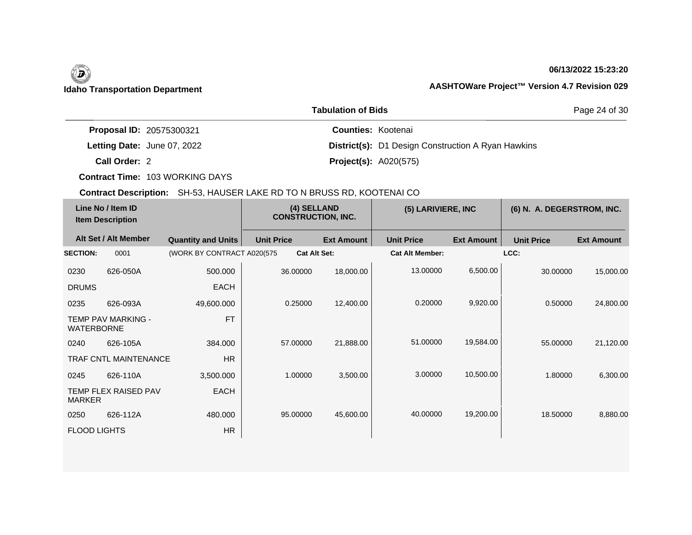## **06/13/2022 15:23:20**

|                             | <b>Tabulation of Bids</b>                                 | Page 24 of 30 |  |
|-----------------------------|-----------------------------------------------------------|---------------|--|
| Proposal ID: 20575300321    | <b>Counties: Kootenai</b>                                 |               |  |
| Letting Date: June 07, 2022 | <b>District(s):</b> D1 Design Construction A Ryan Hawkins |               |  |
| Call Order: 2               | <b>Project(s): A020(575)</b>                              |               |  |

**Contract Time:** 103 WORKING DAYS

| Line No / Item ID<br><b>Item Description</b> |                             | (4) SELLAND<br><b>CONSTRUCTION, INC.</b> |                   | (5) LARIVIERE, INC  |                   | (6) N. A. DEGERSTROM, INC. |                   |                   |                   |
|----------------------------------------------|-----------------------------|------------------------------------------|-------------------|---------------------|-------------------|----------------------------|-------------------|-------------------|-------------------|
|                                              | Alt Set / Alt Member        | <b>Quantity and Units</b>                | <b>Unit Price</b> |                     | <b>Ext Amount</b> | <b>Unit Price</b>          | <b>Ext Amount</b> | <b>Unit Price</b> | <b>Ext Amount</b> |
| <b>SECTION:</b>                              | 0001                        | (WORK BY CONTRACT A020(575               |                   | <b>Cat Alt Set:</b> |                   | <b>Cat Alt Member:</b>     |                   | LCC:              |                   |
| 0230                                         | 626-050A                    | 500.000                                  |                   | 36.00000            | 18,000.00         | 13.00000                   | 6,500.00          | 30.00000          | 15,000.00         |
| <b>DRUMS</b>                                 |                             | <b>EACH</b>                              |                   |                     |                   |                            |                   |                   |                   |
| 0235                                         | 626-093A                    | 49,600.000                               |                   | 0.25000             | 12,400.00         | 0.20000                    | 9,920.00          | 0.50000           | 24,800.00         |
| <b>WATERBORNE</b>                            | <b>TEMP PAV MARKING -</b>   | <b>FT</b>                                |                   |                     |                   |                            |                   |                   |                   |
| 0240                                         | 626-105A                    | 384.000                                  |                   | 57,00000            | 21,888.00         | 51.00000                   | 19,584.00         | 55,00000          | 21,120.00         |
|                                              | TRAF CNTL MAINTENANCE       | HR                                       |                   |                     |                   |                            |                   |                   |                   |
| 0245                                         | 626-110A                    | 3,500.000                                |                   | 1.00000             | 3,500.00          | 3.00000                    | 10,500.00         | 1.80000           | 6,300.00          |
| <b>MARKER</b>                                | <b>TEMP FLEX RAISED PAV</b> | <b>EACH</b>                              |                   |                     |                   |                            |                   |                   |                   |
| 0250                                         | 626-112A                    | 480.000                                  |                   | 95.00000            | 45,600.00         | 40.00000                   | 19,200.00         | 18.50000          | 8,880.00          |
| <b>FLOOD LIGHTS</b>                          |                             | <b>HR</b>                                |                   |                     |                   |                            |                   |                   |                   |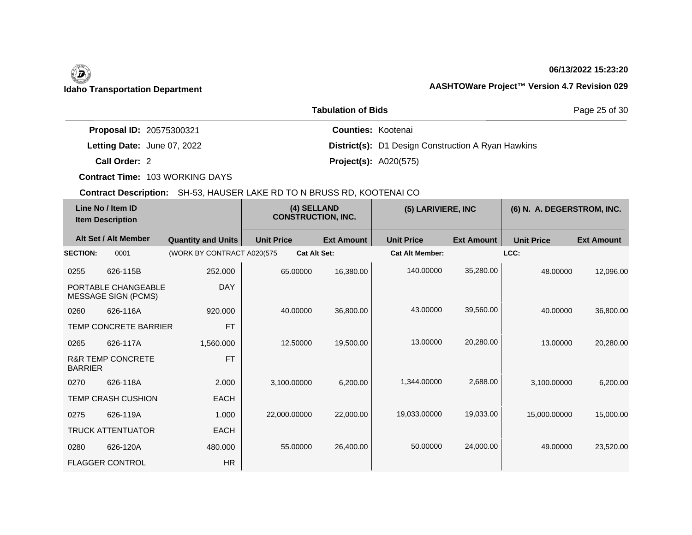## **06/13/2022 15:23:20**

|                             | Page 25 of 30                                             |  |
|-----------------------------|-----------------------------------------------------------|--|
| Proposal ID: 20575300321    | <b>Counties: Kootenai</b>                                 |  |
| Letting Date: June 07, 2022 | <b>District(s):</b> D1 Design Construction A Ryan Hawkins |  |
| Call Order: 2               | <b>Project(s): A020(575)</b>                              |  |

**Contract Time:** 103 WORKING DAYS

|                 | Line No / Item ID<br><b>Item Description</b>      |                            | (4) SELLAND<br><b>CONSTRUCTION, INC.</b> |                     | (5) LARIVIERE, INC     |                   | (6) N. A. DEGERSTROM, INC. |                   |
|-----------------|---------------------------------------------------|----------------------------|------------------------------------------|---------------------|------------------------|-------------------|----------------------------|-------------------|
|                 | Alt Set / Alt Member                              | <b>Quantity and Units</b>  | <b>Unit Price</b>                        | <b>Ext Amount</b>   | <b>Unit Price</b>      | <b>Ext Amount</b> | <b>Unit Price</b>          | <b>Ext Amount</b> |
| <b>SECTION:</b> | 0001                                              | (WORK BY CONTRACT A020(575 |                                          | <b>Cat Alt Set:</b> | <b>Cat Alt Member:</b> |                   | LCC:                       |                   |
| 0255            | 626-115B                                          | 252.000                    | 65.00000                                 | 16,380.00           | 140.00000              | 35,280.00         | 48.00000                   | 12,096.00         |
|                 | PORTABLE CHANGEABLE<br><b>MESSAGE SIGN (PCMS)</b> | <b>DAY</b>                 |                                          |                     |                        |                   |                            |                   |
| 0260            | 626-116A                                          | 920,000                    | 40.00000                                 | 36,800.00           | 43.00000               | 39,560.00         | 40.00000                   | 36,800.00         |
|                 | <b>TEMP CONCRETE BARRIER</b>                      | <b>FT</b>                  |                                          |                     |                        |                   |                            |                   |
| 0265            | 626-117A                                          | 1,560.000                  | 12.50000                                 | 19,500.00           | 13.00000               | 20,280.00         | 13.00000                   | 20,280.00         |
| <b>BARRIER</b>  | <b>R&amp;R TEMP CONCRETE</b>                      | <b>FT</b>                  |                                          |                     |                        |                   |                            |                   |
| 0270            | 626-118A                                          | 2.000                      | 3,100.00000                              | 6,200.00            | 1,344.00000            | 2,688.00          | 3,100.00000                | 6,200.00          |
|                 | <b>TEMP CRASH CUSHION</b>                         | <b>EACH</b>                |                                          |                     |                        |                   |                            |                   |
| 0275            | 626-119A                                          | 1.000                      | 22,000.00000                             | 22,000.00           | 19,033.00000           | 19,033.00         | 15,000.00000               | 15,000.00         |
|                 | <b>TRUCK ATTENTUATOR</b>                          | <b>EACH</b>                |                                          |                     |                        |                   |                            |                   |
| 0280            | 626-120A                                          | 480,000                    | 55.00000                                 | 26,400.00           | 50.00000               | 24,000.00         | 49.00000                   | 23,520.00         |
|                 | <b>FLAGGER CONTROL</b>                            | HR                         |                                          |                     |                        |                   |                            |                   |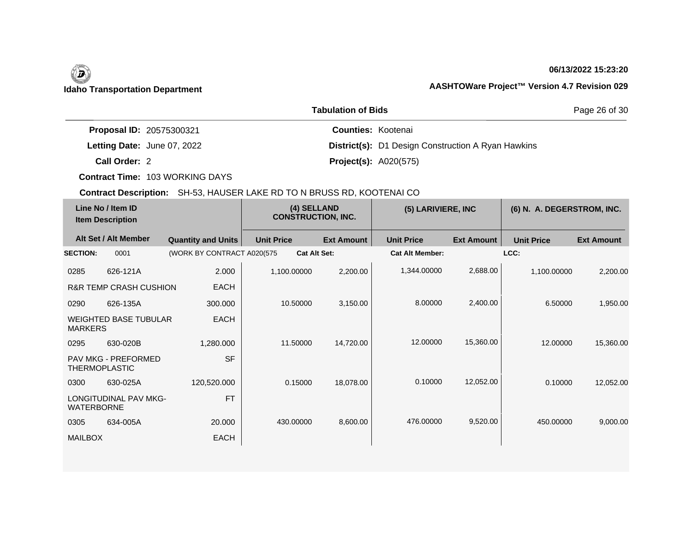# (D)

## **06/13/2022 15:23:20**

## **Idaho Transportation Department AASHTOWare Project™ Version 4.7 Revision 029**

|                                 | <b>Tabulation of Bids</b>                                 | Page 26 of 30 |  |
|---------------------------------|-----------------------------------------------------------|---------------|--|
| <b>Proposal ID: 20575300321</b> | <b>Counties: Kootenai</b>                                 |               |  |
| Letting Date: June 07, 2022     | <b>District(s):</b> D1 Design Construction A Ryan Hawkins |               |  |
| Call Order: 2                   | <b>Project(s): A020(575)</b>                              |               |  |

**Contract Time:** 103 WORKING DAYS

| Line No / Item ID<br><b>Item Description</b> |                                             | (4) SELLAND<br><b>CONSTRUCTION, INC.</b> |                     | (5) LARIVIERE, INC |                        | (6) N. A. DEGERSTROM, INC. |                   |                   |
|----------------------------------------------|---------------------------------------------|------------------------------------------|---------------------|--------------------|------------------------|----------------------------|-------------------|-------------------|
|                                              | Alt Set / Alt Member                        | <b>Quantity and Units</b>                | <b>Unit Price</b>   | <b>Ext Amount</b>  | <b>Unit Price</b>      | <b>Ext Amount</b>          | <b>Unit Price</b> | <b>Ext Amount</b> |
| <b>SECTION:</b>                              | 0001                                        | (WORK BY CONTRACT A020(575               | <b>Cat Alt Set:</b> |                    | <b>Cat Alt Member:</b> |                            | LCC:              |                   |
| 0285                                         | 626-121A                                    | 2.000                                    | 1,100.00000         | 2,200.00           | 1,344.00000            | 2,688.00                   | 1,100.00000       | 2,200.00          |
|                                              | <b>R&amp;R TEMP CRASH CUSHION</b>           | <b>EACH</b>                              |                     |                    |                        |                            |                   |                   |
| 0290                                         | 626-135A                                    | 300,000                                  | 10.50000            | 3,150.00           | 8.00000                | 2,400.00                   | 6.50000           | 1,950.00          |
| <b>MARKERS</b>                               | <b>WEIGHTED BASE TUBULAR</b>                | <b>EACH</b>                              |                     |                    |                        |                            |                   |                   |
| 0295                                         | 630-020B                                    | 1,280.000                                | 11.50000            | 14,720.00          | 12.00000               | 15,360.00                  | 12.00000          | 15,360.00         |
|                                              | PAV MKG - PREFORMED<br><b>THERMOPLASTIC</b> | <b>SF</b>                                |                     |                    |                        |                            |                   |                   |
| 0300                                         | 630-025A                                    | 120,520.000                              | 0.15000             | 18,078.00          | 0.10000                | 12,052.00                  | 0.10000           | 12,052.00         |
| <b>WATERBORNE</b>                            | <b>LONGITUDINAL PAV MKG-</b>                | <b>FT</b>                                |                     |                    |                        |                            |                   |                   |
| 0305                                         | 634-005A                                    | 20.000                                   | 430.00000           | 8,600.00           | 476.00000              | 9,520.00                   | 450.00000         | 9,000.00          |
| <b>MAILBOX</b>                               |                                             | <b>EACH</b>                              |                     |                    |                        |                            |                   |                   |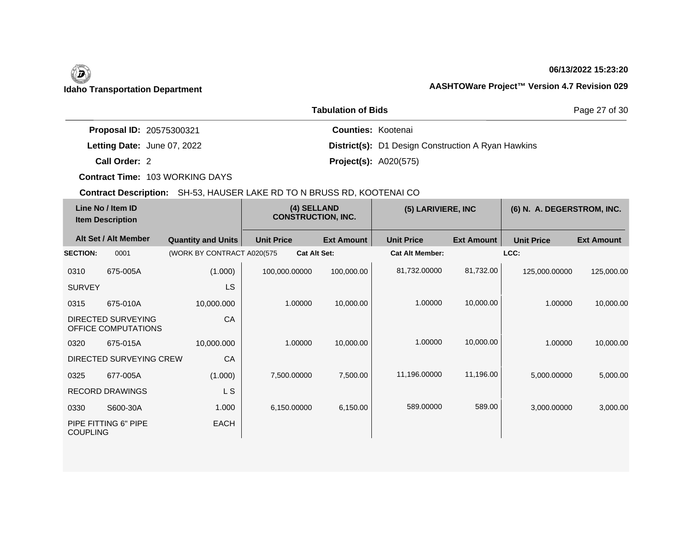## **06/13/2022 15:23:20**

|                                 | <b>Tabulation of Bids</b>                                 | Page 27 of 30 |  |
|---------------------------------|-----------------------------------------------------------|---------------|--|
| <b>Proposal ID: 20575300321</b> | <b>Counties: Kootenai</b>                                 |               |  |
| Letting Date: June 07, 2022     | <b>District(s):</b> D1 Design Construction A Ryan Hawkins |               |  |
| Call Order: 2                   | <b>Project(s): A020(575)</b>                              |               |  |

**Contract Time:** 103 WORKING DAYS

| Line No / Item ID<br><b>Item Description</b> |                                                  | (4) SELLAND<br><b>CONSTRUCTION, INC.</b> |                     | (5) LARIVIERE, INC |                        | (6) N. A. DEGERSTROM, INC. |                   |                   |
|----------------------------------------------|--------------------------------------------------|------------------------------------------|---------------------|--------------------|------------------------|----------------------------|-------------------|-------------------|
|                                              | Alt Set / Alt Member                             | <b>Quantity and Units</b>                | <b>Unit Price</b>   | <b>Ext Amount</b>  | <b>Unit Price</b>      | <b>Ext Amount</b>          | <b>Unit Price</b> | <b>Ext Amount</b> |
| <b>SECTION:</b>                              | 0001                                             | (WORK BY CONTRACT A020(575               | <b>Cat Alt Set:</b> |                    | <b>Cat Alt Member:</b> |                            | LCC:              |                   |
| 0310                                         | 675-005A                                         | (1.000)                                  | 100,000.00000       | 100,000.00         | 81,732.00000           | 81,732.00                  | 125,000.00000     | 125,000.00        |
| <b>SURVEY</b>                                |                                                  | <b>LS</b>                                |                     |                    |                        |                            |                   |                   |
| 0315                                         | 675-010A                                         | 10,000.000                               | 1.00000             | 10,000.00          | 1.00000                | 10,000.00                  | 1.00000           | 10,000.00         |
|                                              | <b>DIRECTED SURVEYING</b><br>OFFICE COMPUTATIONS | CA                                       |                     |                    |                        |                            |                   |                   |
| 0320                                         | 675-015A                                         | 10,000.000                               | 1.00000             | 10,000.00          | 1.00000                | 10,000.00                  | 1.00000           | 10,000.00         |
|                                              | DIRECTED SURVEYING CREW                          | CA                                       |                     |                    |                        |                            |                   |                   |
| 0325                                         | 677-005A                                         | (1.000)                                  | 7,500.00000         | 7,500.00           | 11,196.00000           | 11,196.00                  | 5,000.00000       | 5,000.00          |
|                                              | <b>RECORD DRAWINGS</b>                           | L S                                      |                     |                    |                        |                            |                   |                   |
| 0330                                         | S600-30A                                         | 1.000                                    | 6,150.00000         | 6,150.00           | 589.00000              | 589.00                     | 3,000.00000       | 3,000.00          |
| <b>COUPLING</b>                              | PIPE FITTING 6" PIPE                             | <b>EACH</b>                              |                     |                    |                        |                            |                   |                   |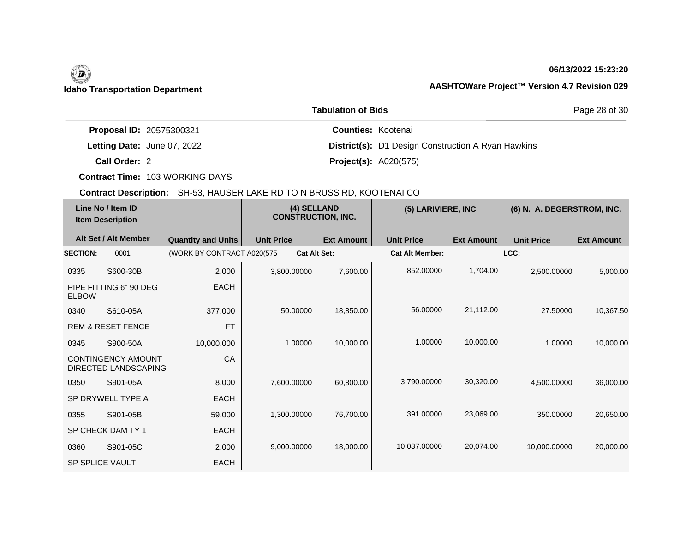### **06/13/2022 15:23:20**

|                                 | Page 28 of 30                                             |  |
|---------------------------------|-----------------------------------------------------------|--|
| <b>Proposal ID: 20575300321</b> | <b>Counties: Kootenai</b>                                 |  |
| Letting Date: June 07, 2022     | <b>District(s):</b> D1 Design Construction A Ryan Hawkins |  |
| Call Order: 2                   | <b>Project(s): A020(575)</b>                              |  |

**Contract Time:** 103 WORKING DAYS

|                        | Line No / Item ID<br><b>Item Description</b>      |                            | (4) SELLAND<br><b>CONSTRUCTION, INC.</b> |                   | (5) LARIVIERE, INC     |                   | (6) N. A. DEGERSTROM, INC. |                   |
|------------------------|---------------------------------------------------|----------------------------|------------------------------------------|-------------------|------------------------|-------------------|----------------------------|-------------------|
|                        | Alt Set / Alt Member                              | <b>Quantity and Units</b>  | <b>Unit Price</b>                        | <b>Ext Amount</b> | <b>Unit Price</b>      | <b>Ext Amount</b> | <b>Unit Price</b>          | <b>Ext Amount</b> |
| <b>SECTION:</b>        | 0001                                              | (WORK BY CONTRACT A020(575 | <b>Cat Alt Set:</b>                      |                   | <b>Cat Alt Member:</b> |                   | LCC:                       |                   |
| 0335                   | S600-30B                                          | 2.000                      | 3,800.00000                              | 7,600.00          | 852.00000              | 1,704.00          | 2,500.00000                | 5,000.00          |
| <b>ELBOW</b>           | PIPE FITTING 6" 90 DEG                            | <b>EACH</b>                |                                          |                   |                        |                   |                            |                   |
| 0340                   | S610-05A                                          | 377,000                    | 50.00000                                 | 18,850.00         | 56.00000               | 21,112.00         | 27,50000                   | 10,367.50         |
|                        | <b>REM &amp; RESET FENCE</b>                      | <b>FT</b>                  |                                          |                   |                        |                   |                            |                   |
| 0345                   | S900-50A                                          | 10,000.000                 | 1.00000                                  | 10,000.00         | 1.00000                | 10,000.00         | 1.00000                    | 10,000.00         |
|                        | <b>CONTINGENCY AMOUNT</b><br>DIRECTED LANDSCAPING | CA                         |                                          |                   |                        |                   |                            |                   |
| 0350                   | S901-05A                                          | 8.000                      | 7,600.00000                              | 60,800.00         | 3,790,00000            | 30,320.00         | 4,500.00000                | 36,000.00         |
|                        | SP DRYWELL TYPE A                                 | <b>EACH</b>                |                                          |                   |                        |                   |                            |                   |
| 0355                   | S901-05B                                          | 59.000                     | 1,300.00000                              | 76,700.00         | 391.00000              | 23,069.00         | 350,00000                  | 20,650.00         |
|                        | SP CHECK DAM TY 1                                 | <b>EACH</b>                |                                          |                   |                        |                   |                            |                   |
| 0360                   | S901-05C                                          | 2.000                      | 9,000.00000                              | 18,000.00         | 10,037.00000           | 20,074.00         | 10,000.00000               | 20,000.00         |
| <b>SP SPLICE VAULT</b> |                                                   | <b>EACH</b>                |                                          |                   |                        |                   |                            |                   |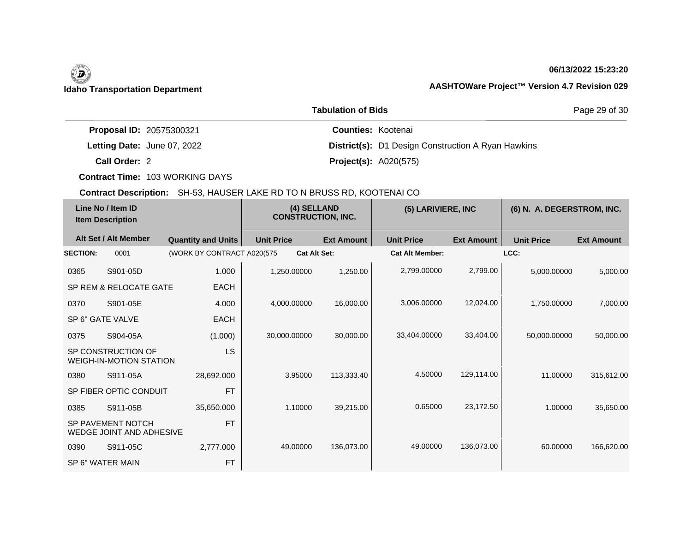## **06/13/2022 15:23:20**

|                             | <b>Tabulation of Bids</b>                                 | Page 29 of 30 |
|-----------------------------|-----------------------------------------------------------|---------------|
| Proposal ID: 20575300321    | <b>Counties: Kootenai</b>                                 |               |
| Letting Date: June 07, 2022 | <b>District(s):</b> D1 Design Construction A Ryan Hawkins |               |
| Call Order: 2               | <b>Project(s): A020(575)</b>                              |               |

**Contract Time:** 103 WORKING DAYS

| Line No / Item ID<br><b>Item Description</b> |                                                      | (4) SELLAND<br><b>CONSTRUCTION, INC.</b> |                     | (5) LARIVIERE, INC |                        | (6) N. A. DEGERSTROM, INC. |                   |                   |
|----------------------------------------------|------------------------------------------------------|------------------------------------------|---------------------|--------------------|------------------------|----------------------------|-------------------|-------------------|
|                                              | Alt Set / Alt Member                                 | <b>Quantity and Units</b>                | <b>Unit Price</b>   | <b>Ext Amount</b>  | <b>Unit Price</b>      | <b>Ext Amount</b>          | <b>Unit Price</b> | <b>Ext Amount</b> |
| <b>SECTION:</b>                              | 0001                                                 | (WORK BY CONTRACT A020(575               | <b>Cat Alt Set:</b> |                    | <b>Cat Alt Member:</b> |                            | LCC:              |                   |
| 0365                                         | S901-05D                                             | 1.000                                    | 1,250.00000         | 1,250.00           | 2,799.00000            | 2,799.00                   | 5,000.00000       | 5,000.00          |
|                                              | SP REM & RELOCATE GATE                               | <b>EACH</b>                              |                     |                    |                        |                            |                   |                   |
| 0370                                         | S901-05E                                             | 4.000                                    | 4,000.00000         | 16,000.00          | 3,006.00000            | 12,024.00                  | 1,750.00000       | 7,000.00          |
|                                              | SP 6" GATE VALVE                                     | <b>EACH</b>                              |                     |                    |                        |                            |                   |                   |
| 0375                                         | S904-05A                                             | (1.000)                                  | 30,000.00000        | 30,000.00          | 33,404.00000           | 33,404.00                  | 50,000.00000      | 50,000.00         |
|                                              | SP CONSTRUCTION OF<br><b>WEIGH-IN-MOTION STATION</b> | <b>LS</b>                                |                     |                    |                        |                            |                   |                   |
| 0380                                         | S911-05A                                             | 28,692.000                               | 3.95000             | 113,333.40         | 4.50000                | 129,114.00                 | 11.00000          | 315,612.00        |
|                                              | SP FIBER OPTIC CONDUIT                               | <b>FT</b>                                |                     |                    |                        |                            |                   |                   |
| 0385                                         | S911-05B                                             | 35,650.000                               | 1.10000             | 39,215.00          | 0.65000                | 23,172.50                  | 1.00000           | 35,650.00         |
|                                              | SP PAVEMENT NOTCH<br><b>WEDGE JOINT AND ADHESIVE</b> | <b>FT</b>                                |                     |                    |                        |                            |                   |                   |
| 0390                                         | S911-05C                                             | 2,777.000                                | 49.00000            | 136,073.00         | 49.00000               | 136,073.00                 | 60.00000          | 166,620.00        |
|                                              | SP 6" WATER MAIN                                     | <b>FT</b>                                |                     |                    |                        |                            |                   |                   |